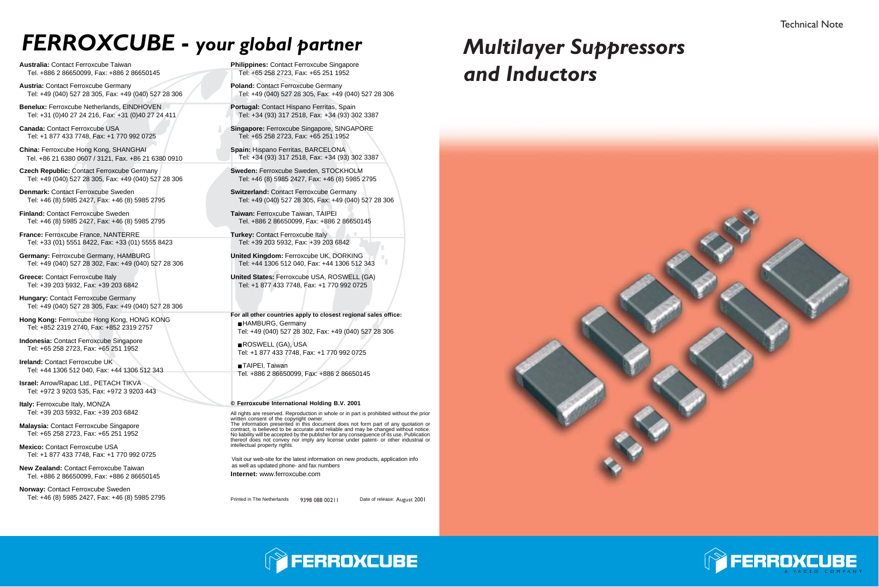Technical Note

# *Multilayer Suppressors and Inductors*



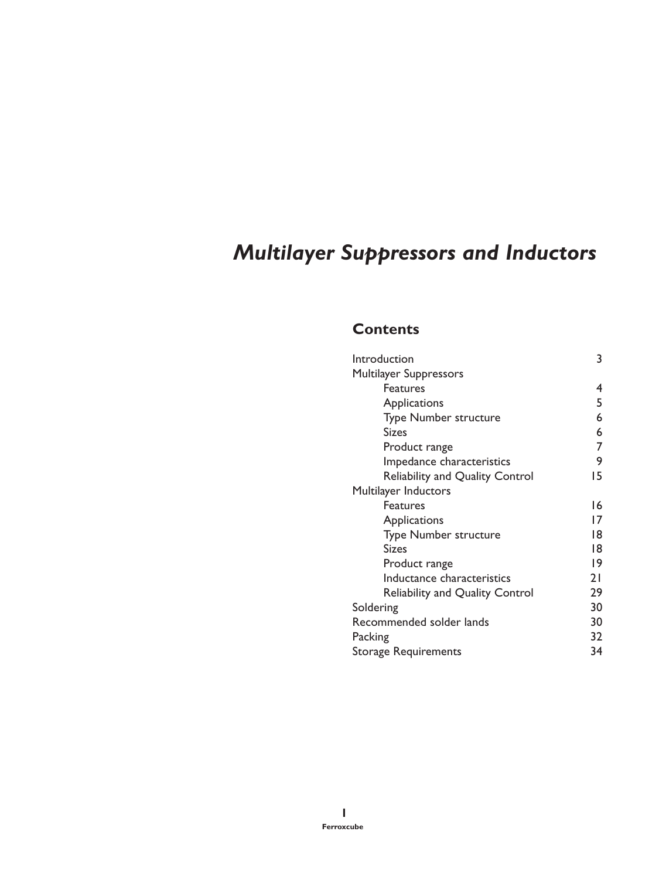## *Multilayer Suppressors and Inductors*

## **Contents**

| Introduction                           | 3  |
|----------------------------------------|----|
| <b>Multilayer Suppressors</b>          |    |
| Features                               | 4  |
| Applications                           | 5  |
| Type Number structure                  | 6  |
| <b>Sizes</b>                           | 6  |
| Product range                          | 7  |
| Impedance characteristics              | 9  |
| <b>Reliability and Quality Control</b> | 15 |
| Multilayer Inductors                   |    |
| Features                               | 16 |
| Applications                           | 17 |
| Type Number structure                  | 18 |
| <b>Sizes</b>                           | 18 |
| Product range                          | 19 |
| Inductance characteristics             | 21 |
| <b>Reliability and Quality Control</b> | 29 |
| Soldering                              | 30 |
| Recommended solder lands               | 30 |
| Packing                                | 32 |
| <b>Storage Requirements</b>            | 34 |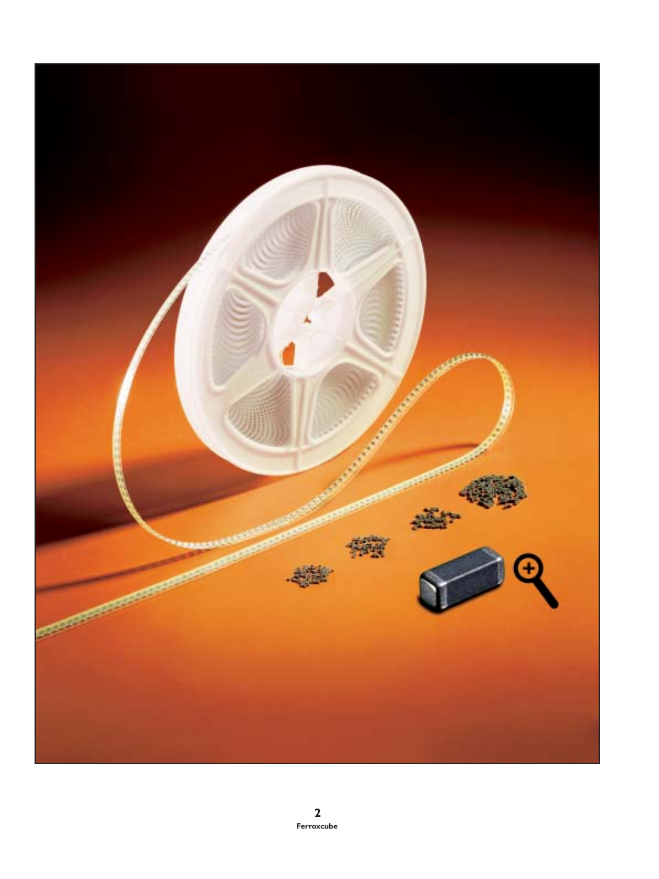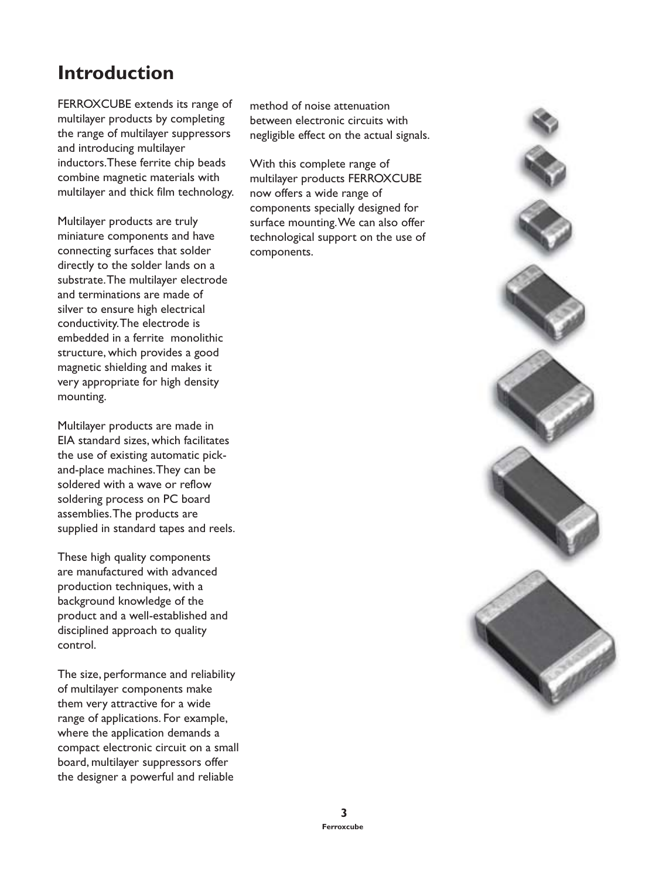## **Introduction**

FERROXCUBE extends its range of multilayer products by completing the range of multilayer suppressors and introducing multilayer inductors.These ferrite chip beads combine magnetic materials with multilayer and thick film technology.

Multilayer products are truly miniature components and have connecting surfaces that solder directly to the solder lands on a substrate. The multilayer electrode and terminations are made of silver to ensure high electrical conductivity. The electrode is embedded in a ferrite monolithic structure, which provides a good magnetic shielding and makes it very appropriate for high density mounting.

Multilayer products are made in EIA standard sizes, which facilitates the use of existing automatic pickand-place machines. They can be soldered with a wave or reflow soldering process on PC board assemblies. The products are supplied in standard tapes and reels.

These high quality components are manufactured with advanced production techniques, with a background knowledge of the product and a well-established and disciplined approach to quality control.

The size, performance and reliability of multilayer components make them very attractive for a wide range of applications. For example, where the application demands a compact electronic circuit on a small board, multilayer suppressors offer the designer a powerful and reliable

method of noise attenuation between electronic circuits with negligible effect on the actual signals.

With this complete range of multilayer products FERROXCUBE now offers a wide range of components specially designed for surface mounting. We can also offer technological support on the use of components.

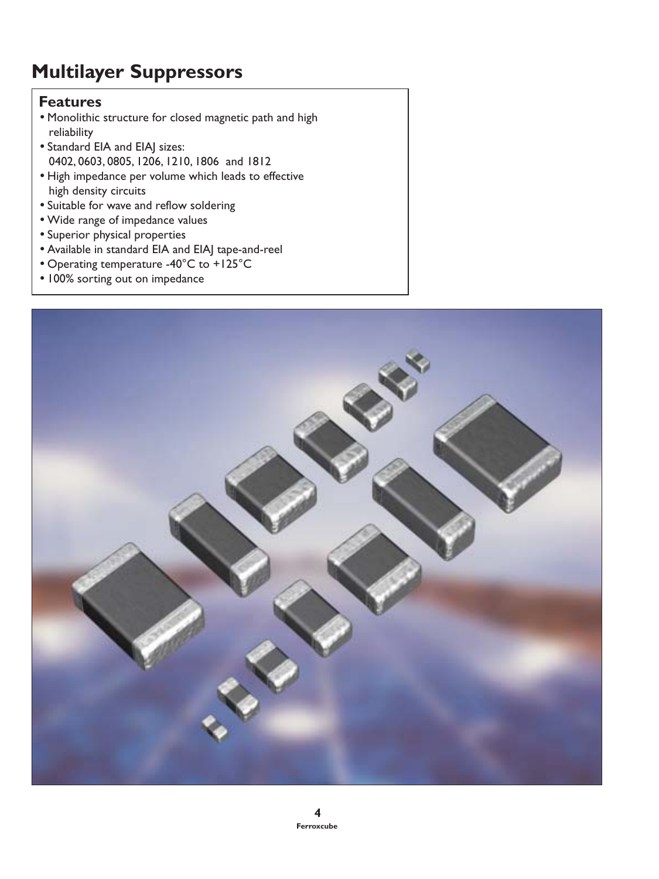## **Multilayer Suppressors**

### **Features**

- Monolithic structure for closed magnetic path and high reliability
- Standard EIA and EIAJ sizes: 0402, 0603, 0805, 1206, 1210, 1806 and 1812
- High impedance per volume which leads to effective high density circuits
- Suitable for wave and reflow soldering
- Wide range of impedance values
- Superior physical properties
- Available in standard EIA and EIAJ tape-and-reel
- Operating temperature -40°C to +125°C
- 100% sorting out on impedance

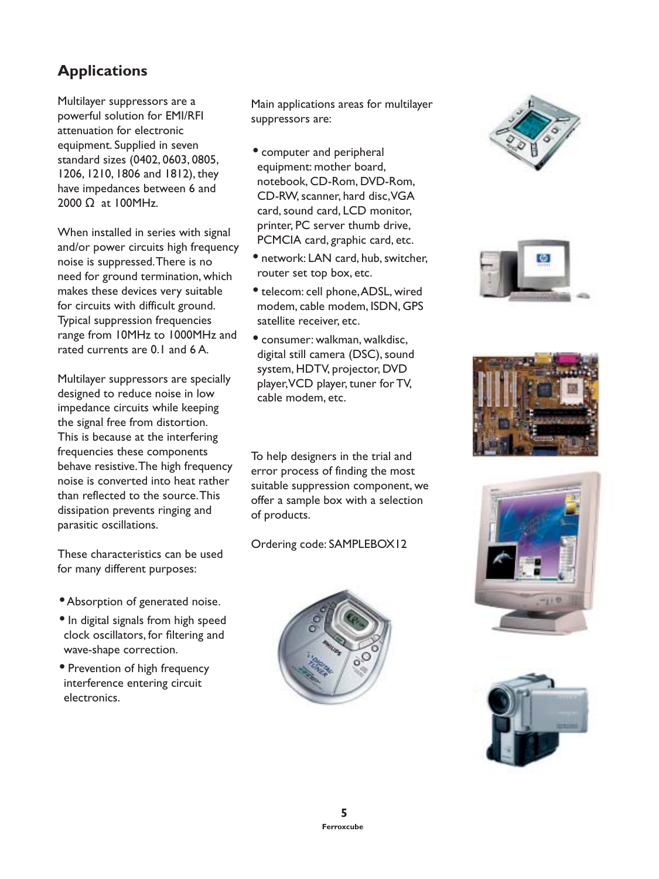## **Applications**

Multilayer suppressors are a powerful solution for EMI/RFI attenuation for electronic equipment. Supplied in seven standard sizes (0402, 0603, 0805, 1206, 1210, 1806 and 1812), they have impedances between 6 and 2000 Ω at 100MHz.

When installed in series with signal and/or power circuits high frequency noise is suppressed. There is no need for ground termination, which makes these devices very suitable for circuits with difficult ground. Typical suppression frequencies range from 10MHz to 1000MHz and rated currents are 0.1 and 6 A.

Multilayer suppressors are specially designed to reduce noise in low impedance circuits while keeping the signal free from distortion. This is because at the interfering frequencies these components behave resistive. The high frequency noise is converted into heat rather than reflected to the source. This dissipation prevents ringing and parasitic oscillations.

These characteristics can be used for many different purposes:

- Absorption of generated noise.
- In digital signals from high speed clock oscillators, for filtering and wave-shape correction.
- Prevention of high frequency interference entering circuit electronics.

Main applications areas for multilayer suppressors are:

- computer and peripheral equipment: mother board, notebook, CD-Rom, DVD-Rom, CD-RW, scanner, hard disc, VGA card, sound card, LCD monitor, printer, PC server thumb drive, PCMCIA card, graphic card, etc.
- network: LAN card, hub, switcher, router set top box, etc.
- telecom: cell phone, ADSL, wired modem, cable modem, ISDN, GPS satellite receiver etc.
- consumer: walkman, walkdisc, digital still camera (DSC), sound system, HDTV, projector, DVD player, VCD player, tuner for TV, cable modem, etc.

To help designers in the trial and error process of finding the most suitable suppression component, we offer a sample box with a selection of products.

Ordering code: SAMPLEBOX12











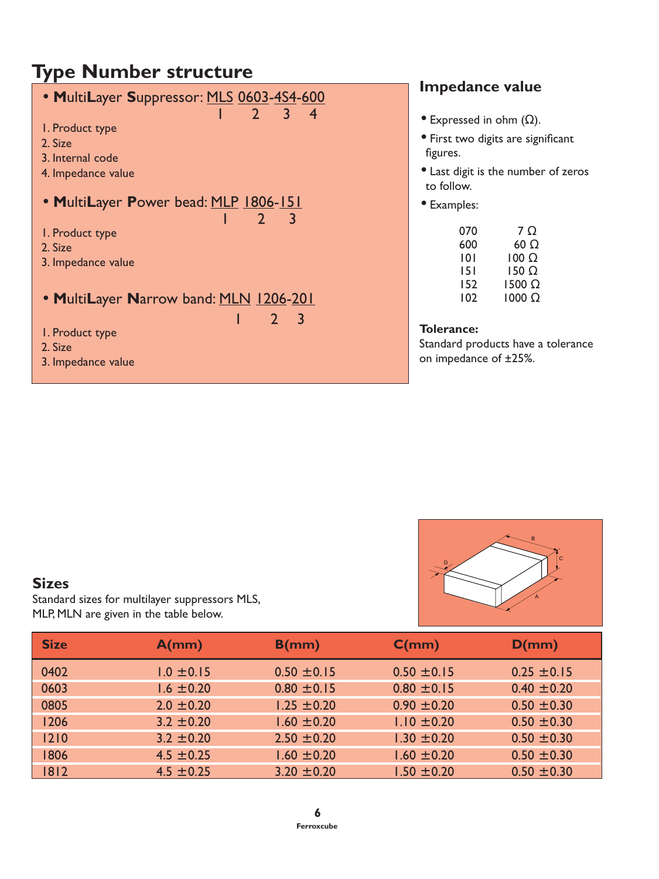## **Type Number structure**

**Sizes**

Standard sizes for multilayer suppressors MLS,

MLP, MLN are given in the table below.

| • MultiLayer Suppressor: MLS 0603-4S4-600                   |
|-------------------------------------------------------------|
| $3 \quad 4$<br>2 <sup>7</sup>                               |
| I. Product type                                             |
| 2. Size                                                     |
| 3. Internal code                                            |
| 4. Impedance value                                          |
| • MultiLayer Power bead: MLP 1806-151<br>$\mathcal{P}$<br>3 |
| I. Product type                                             |
| 2. Size                                                     |
| 3. Impedance value                                          |
|                                                             |
| • MultiLayer Narrow band: MLN 1206-201                      |
| 2 <sup>1</sup><br>3                                         |
| I. Product type                                             |
| 2. Size                                                     |
| 3. Impedance value                                          |
|                                                             |

### **Impedance value**

- Expressed in ohm  $(\Omega)$ .
- First two digits are significant figures.
- Last digit is the number of zeros to follow.
- Examples:

| 070 | 7Ω            |
|-----|---------------|
| 600 | 60 $\Omega$   |
| 101 | $100 \Omega$  |
| 151 | 150 $\Omega$  |
| 152 | 1500 Ω        |
| 102 | $1000 \Omega$ |

#### **Tolerance:**

Standard products have a tolerance on impedance of ±25%.



| <b>Size</b> | A(mm)          | B(mm)           | C(mm)           | D(mm)           |
|-------------|----------------|-----------------|-----------------|-----------------|
| 0402        | $1.0 \pm 0.15$ | $0.50 \pm 0.15$ | $0.50 \pm 0.15$ | $0.25 \pm 0.15$ |
| 0603        | $1.6 \pm 0.20$ | $0.80 \pm 0.15$ | $0.80 \pm 0.15$ | $0.40 \pm 0.20$ |
| 0805        | $2.0 \pm 0.20$ | $1.25 \pm 0.20$ | $0.90 \pm 0.20$ | $0.50 \pm 0.30$ |
| 1206        | $3.2 \pm 0.20$ | $1.60 \pm 0.20$ | $1.10 \pm 0.20$ | $0.50 \pm 0.30$ |
| 1210        | $3.2 \pm 0.20$ | $2.50 \pm 0.20$ | $1.30 \pm 0.20$ | $0.50 \pm 0.30$ |
| 1806        | $4.5 \pm 0.25$ | $1.60 \pm 0.20$ | $1.60 \pm 0.20$ | $0.50 \pm 0.30$ |
| 1812        | $4.5 \pm 0.25$ | $3.20 \pm 0.20$ | $1.50 \pm 0.20$ | $0.50 \pm 0.30$ |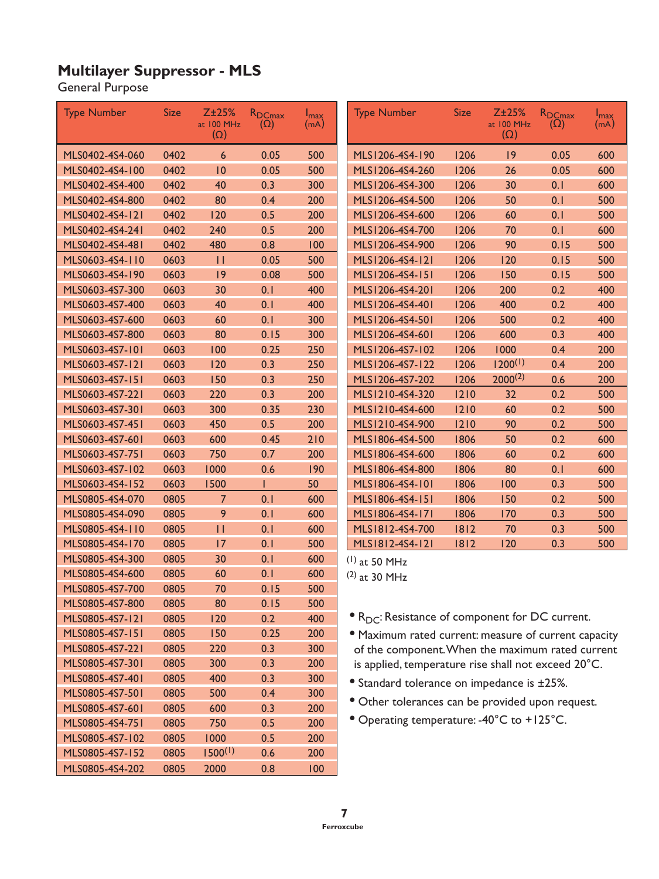## **Multilayer Suppressor - MLS**

General Purpose

| <b>Type Number</b> | <b>Size</b> | $Z\pm25%$<br>at 100 MHz<br>$(\Omega)$ | R <sub>DCmax</sub><br>$(\Omega)$ | $I_{\text{max}}$<br>(mA) | <b>Type Number</b>                                                  | <b>Size</b> | $Z\pm25%$<br>at 100 MHz<br>$(\Omega)$ | R <sub>DCmax</sub><br>$(\Omega)$ | $I_{\text{max}}$<br>(mA) |
|--------------------|-------------|---------------------------------------|----------------------------------|--------------------------|---------------------------------------------------------------------|-------------|---------------------------------------|----------------------------------|--------------------------|
| MLS0402-4S4-060    | 0402        | $6\overline{6}$                       | 0.05                             | 500                      | MLS1206-4S4-190                                                     | 1206        | 9                                     | 0.05                             | 600                      |
| MLS0402-4S4-100    | 0402        | 10                                    | 0.05                             | 500                      | MLS1206-4S4-260                                                     | 1206        | 26                                    | 0.05                             | 600                      |
| MLS0402-4S4-400    | 0402        | 40                                    | 0.3                              | 300                      | MLS1206-4S4-300                                                     | 1206        | 30                                    | 0.1                              | 600                      |
| MLS0402-4S4-800    | 0402        | 80                                    | 0.4                              | 200                      | MLS1206-4S4-500                                                     | 1206        | 50                                    | 0.1                              | 500                      |
| MLS0402-4S4-121    | 0402        | 120                                   | 0.5                              | 200                      | MLS1206-4S4-600                                                     | 1206        | 60                                    | 0.1                              | 500                      |
| MLS0402-4S4-241    | 0402        | 240                                   | 0.5                              | 200                      | MLS1206-4S4-700                                                     | 1206        | 70                                    | 0.1                              | 600                      |
| MLS0402-4S4-481    | 0402        | 480                                   | 0.8                              | 100                      | MLS1206-4S4-900                                                     | 1206        | 90                                    | 0.15                             | 500                      |
| MLS0603-4S4-110    | 0603        | $\mathbf{H}$                          | 0.05                             | 500                      | MLS1206-4S4-121                                                     | 1206        | 120                                   | 0.15                             | 500                      |
| MLS0603-4S4-190    | 0603        | 9                                     | 0.08                             | 500                      | MLS1206-4S4-151                                                     | 1206        | 150                                   | 0.15                             | 500                      |
| MLS0603-4S7-300    | 0603        | 30                                    | 0.1                              | 400                      | MLS1206-4S4-201                                                     | 1206        | 200                                   | 0.2                              | 400                      |
| MLS0603-4S7-400    | 0603        | 40                                    | 0.1                              | 400                      | MLS1206-4S4-401                                                     | 1206        | 400                                   | 0.2                              | 400                      |
| MLS0603-4S7-600    | 0603        | 60                                    | 0.1                              | 300                      | MLS1206-4S4-501                                                     | 1206        | 500                                   | 0.2                              | 400                      |
| MLS0603-4S7-800    | 0603        | 80                                    | 0.15                             | 300                      | MLS1206-4S4-601                                                     | 1206        | 600                                   | 0.3                              | 400                      |
| MLS0603-4S7-101    | 0603        | 100                                   | 0.25                             | 250                      | MLS1206-4S7-102                                                     | 1206        | 1000                                  | 0.4                              | 200                      |
| MLS0603-4S7-121    | 0603        | 120                                   | 0.3                              | 250                      | MLS1206-4S7-122                                                     | 1206        | $1200^{(1)}$                          | 0.4                              | 200                      |
| MLS0603-4S7-151    | 0603        | 150                                   | 0.3                              | 250                      | MLS1206-4S7-202                                                     | 1206        | $2000^{(2)}$                          | 0.6                              | 200                      |
| MLS0603-4S7-221    | 0603        | 220                                   | 0.3                              | 200                      | MLS1210-4S4-320                                                     | 1210        | 32                                    | 0.2                              | 500                      |
| MLS0603-4S7-301    | 0603        | 300                                   | 0.35                             | 230                      | MLS1210-4S4-600                                                     | 1210        | 60                                    | 0.2                              | 500                      |
| MLS0603-4S7-451    | 0603        | 450                                   | 0.5                              | 200                      | MLS1210-4S4-900                                                     | 1210        | 90                                    | 0.2                              | 500                      |
| MLS0603-4S7-601    | 0603        | 600                                   | 0.45                             | 210                      | MLS1806-4S4-500                                                     | 1806        | 50                                    | 0.2                              | 600                      |
| MLS0603-4S7-751    | 0603        | 750                                   | 0.7                              | 200                      | MLS1806-4S4-600                                                     | 1806        | 60                                    | 0.2                              | 600                      |
| MLS0603-4S7-102    | 0603        | 1000                                  | 0.6                              | 190                      | MLS1806-4S4-800                                                     | 1806        | 80                                    | 0.1                              | 600                      |
| MLS0603-4S4-152    | 0603        | 1500                                  | L                                | 50                       | MLS1806-4S4-101                                                     | 1806        | 100                                   | 0.3                              | 500                      |
| MLS0805-4S4-070    | 0805        | $\overline{7}$                        | 0.1                              | 600                      | MLS1806-4S4-151                                                     | 1806        | 150                                   | 0.2                              | 500                      |
| MLS0805-4S4-090    | 0805        | 9                                     | 0.1                              | 600                      | MLS1806-4S4-171                                                     | 1806        | 170                                   | 0.3                              | 500                      |
| MLS0805-4S4-110    | 0805        | $\mathbf{H}$                          | 0.1                              | 600                      | MLS1812-4S4-700                                                     | 1812        | 70                                    | 0.3                              | 500                      |
| MLS0805-4S4-170    | 0805        | 17                                    | 0.1                              | 500                      | MLS1812-4S4-121                                                     | 1812        | 120                                   | 0.3                              | 500                      |
| MLS0805-4S4-300    | 0805        | 30                                    | 0.1                              | 600                      | $(1)$ at 50 MHz                                                     |             |                                       |                                  |                          |
| MLS0805-4S4-600    | 0805        | 60                                    | 0.1                              | 600                      | $(2)$ at 30 MHz                                                     |             |                                       |                                  |                          |
| MLS0805-4S7-700    | 0805        | 70                                    | 0.15                             | 500                      |                                                                     |             |                                       |                                  |                          |
| MLS0805-4S7-800    | 0805        | 80                                    | 0.15                             | 500                      |                                                                     |             |                                       |                                  |                          |
| MLS0805-4S7-121    | 0805        | 120                                   | 0.2                              | 400                      | $\bullet$ R <sub>DC</sub> : Resistance of component for DC current. |             |                                       |                                  |                          |
| MLS0805-4S7-151    | 0805        | 150                                   | 0.25                             | 200                      | • Maximum rated current: measure of current capacity                |             |                                       |                                  |                          |
| MLS0805-4S7-221    | 0805        | 220                                   | 0.3                              | 300                      | of the component. When the maximum rated current                    |             |                                       |                                  |                          |
| MLS0805-4S7-301    | 0805        | 300                                   | 0.3                              | 200                      | is applied, temperature rise shall not exceed 20°C.                 |             |                                       |                                  |                          |
| MLS0805-4S7-401    | 0805        | 400                                   | 0.3                              | 300                      | • Standard tolerance on impedance is ±25%.                          |             |                                       |                                  |                          |
| MLS0805-4S7-501    | 0805        | 500                                   | 0.4                              | 300                      | • Other tolerances can be provided upon request.                    |             |                                       |                                  |                          |
| MLS0805-4S7-601    | 0805        | 600                                   | 0.3                              | 200                      | • Operating temperature: -40°C to +125°C.                           |             |                                       |                                  |                          |
| MLS0805-4S4-751    | 0805        | 750                                   | 0.5                              | 200                      |                                                                     |             |                                       |                                  |                          |
| MLS0805-4S7-102    | 0805        | 1000                                  | 0.5                              | 200                      |                                                                     |             |                                       |                                  |                          |
| MLS0805-4S7-152    | 0805        | $1500^{(1)}$                          | 0.6                              | 200                      |                                                                     |             |                                       |                                  |                          |
| MLS0805-4S4-202    | 0805        | 2000                                  | 0.8                              | 100                      |                                                                     |             |                                       |                                  |                          |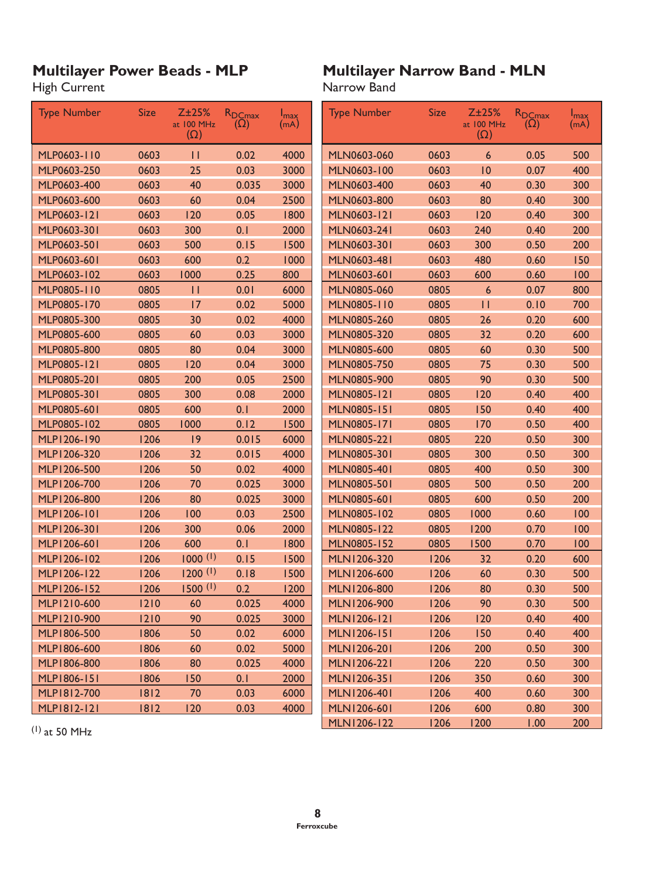## **Multilayer Power Beads - MLP**

High Current

| <b>Type Number</b> | <b>Size</b> | $Z_{\pm}$ 25%<br>at 100 MHz<br>$(\Omega)$ | R <sub>DCmax</sub><br>$(\Omega)$ | $I_{\text{max}}$<br>(mA) | <b>Type Number</b> |
|--------------------|-------------|-------------------------------------------|----------------------------------|--------------------------|--------------------|
| MLP0603-110        | 0603        | П                                         | 0.02                             | 4000                     | MLN0603-060        |
| MLP0603-250        | 0603        | 25                                        | 0.03                             | 3000                     | MLN0603-100        |
| MLP0603-400        | 0603        | 40                                        | 0.035                            | 3000                     | MLN0603-400        |
| MLP0603-600        | 0603        | 60                                        | 0.04                             | 2500                     | MLN0603-800        |
| MLP0603-121        | 0603        | 120                                       | 0.05                             | 1800                     | <b>MLN0603-121</b> |
| MLP0603-301        | 0603        | 300                                       | 0.1                              | 2000                     | MLN0603-241        |
| MLP0603-501        | 0603        | 500                                       | 0.15                             | 1500                     | MLN0603-301        |
| MLP0603-601        | 0603        | 600                                       | 0.2                              | 1000                     | MLN0603-481        |
| MLP0603-102        | 0603        | 1000                                      | 0.25                             | 800                      | MLN0603-601        |
| MLP0805-110        | 0805        | П                                         | 0.01                             | 6000                     | <b>MLN0805-060</b> |
| MLP0805-170        | 0805        | 17                                        | 0.02                             | 5000                     | <b>MLN0805-110</b> |
| MLP0805-300        | 0805        | 30                                        | 0.02                             | 4000                     | <b>MLN0805-260</b> |
| MLP0805-600        | 0805        | 60                                        | 0.03                             | 3000                     | <b>MLN0805-320</b> |
| MLP0805-800        | 0805        | 80                                        | 0.04                             | 3000                     | <b>MLN0805-600</b> |
| MLP0805-121        | 0805        | 120                                       | 0.04                             | 3000                     | <b>MLN0805-750</b> |
| MLP0805-201        | 0805        | 200                                       | 0.05                             | 2500                     | <b>MLN0805-900</b> |
| MLP0805-301        | 0805        | 300                                       | 0.08                             | 2000                     | MLN0805-121        |
| MLP0805-601        | 0805        | 600                                       | 0.1                              | 2000                     | <b>MLN0805-151</b> |
| MLP0805-102        | 0805        | 1000                                      | 0.12                             | 1500                     | <b>MLN0805-171</b> |
| MLP1206-190        | 1206        | 9                                         | 0.015                            | 6000                     | MLN0805-221        |
| MLP1206-320        | 1206        | 32                                        | 0.015                            | 4000                     | MLN0805-301        |
| MLP1206-500        | 1206        | 50                                        | 0.02                             | 4000                     | MLN0805-401        |
| MLP1206-700        | 1206        | 70                                        | 0.025                            | 3000                     | MLN0805-501        |
| MLP1206-800        | 1206        | 80                                        | 0.025                            | 3000                     | MLN0805-601        |
| MLP1206-101        | 1206        | 100                                       | 0.03                             | 2500                     | <b>MLN0805-102</b> |
| MLP1206-301        | 1206        | 300                                       | 0.06                             | 2000                     | <b>MLN0805-122</b> |
| MLP1206-601        | 1206        | 600                                       | 0.1                              | 1800                     | <b>MLN0805-152</b> |
| MLP1206-102        | 1206        | 1000(1)                                   | 0.15                             | 1500                     | MLN1206-320        |
| MLP1206-122        | 1206        | $1200$ <sup>(1)</sup>                     | 0.18                             | 1500                     | MLN1206-600        |
| MLP1206-152        | 1206        | $1500$ <sup>(1)</sup>                     | 0.2                              | 1200                     | MLN1206-800        |
| MLP1210-600        | 1210        | 60                                        | 0.025                            | 4000                     | MLN1206-900        |
| MLP1210-900        | 1210        | 90                                        | 0.025                            | 3000                     | MLN1206-121        |
| MLP1806-500        | 1806        | 50                                        | 0.02                             | 6000                     | <b>MLN1206-151</b> |
| MLP1806-600        | 1806        | 60                                        | 0.02                             | 5000                     | <b>MLN1206-201</b> |
| MLP1806-800        | 1806        | 80                                        | 0.025                            | 4000                     | <b>MLN1206-221</b> |
| MLP1806-151        | 1806        | 150                                       | 0.1                              | 2000                     | <b>MLN1206-351</b> |
| MLP1812-700        | 1812        | 70                                        | 0.03                             | 6000                     | MLN1206-401        |
| MLP1812-121        | 1812        | 120                                       | 0.03                             | 4000                     | MLN1206-601        |

## **Multilayer Narrow Band - MLN**

Narrow Band

| ¢              | <b>Type Number</b> | <b>Size</b> | $Z\pm25%$                | R <sub>DCmax</sub> | $I_{\text{max}}$ |
|----------------|--------------------|-------------|--------------------------|--------------------|------------------|
|                |                    |             | at 100 MHz<br>$(\Omega)$ | $(\Omega)$         | (mA)             |
|                |                    |             |                          |                    |                  |
| 00             | MLN0603-060        | 0603        | 6                        | 0.05               | 500              |
| )0             | MLN0603-100        | 0603        | 10                       | 0.07               | 400              |
| 00             | MLN0603-400        | 0603        | 40                       | 0.30               | 300              |
| 00             | MLN0603-800        | 0603        | 80                       | 0.40               | 300              |
| $\overline{0}$ | MLN0603-121        | 0603        | 120                      | 0.40               | 300              |
| 00             | MLN0603-241        | 0603        | 240                      | 0.40               | 200              |
| $\overline{0}$ | MLN0603-301        | 0603        | 300                      | 0.50               | 200              |
| 00             | MLN0603-481        | 0603        | 480                      | 0.60               | 150              |
| J              | MLN0603-601        | 0603        | 600                      | 0.60               | 100              |
| $\overline{0}$ | <b>MLN0805-060</b> | 0805        | 6                        | 0.07               | 800              |
| $\overline{0}$ | MLN0805-110        | 0805        | П                        | 0.10               | 700              |
| 00             | <b>MLN0805-260</b> | 0805        | 26                       | 0.20               | 600              |
| $\overline{0}$ | MLN0805-320        | 0805        | 32                       | 0.20               | 600              |
| 00             | MLN0805-600        | 0805        | 60                       | 0.30               | 500              |
| $\overline{0}$ | MLN0805-750        | 0805        | 75                       | 0.30               | 500              |
| 00             | MLN0805-900        | 0805        | 90                       | 0.30               | 500              |
| $\overline{0}$ | MLN0805-121        | 0805        | 120                      | 0.40               | 400              |
| )0             | MLN0805-151        | 0805        | 150                      | 0.40               | 400              |
| $\overline{0}$ | <b>MLN0805-171</b> | 0805        | 170                      | 0.50               | 400              |
| 00             | MLN0805-221        | 0805        | 220                      | 0.50               | 300              |
| $\overline{0}$ | MLN0805-301        | 0805        | 300                      | 0.50               | 300              |
| 00             | MLN0805-401        | 0805        | 400                      | 0.50               | 300              |
| 00             | MLN0805-501        | 0805        | 500                      | 0.50               | 200              |
| 00             | MLN0805-601        | 0805        | 600                      | 0.50               | 200              |
| $\overline{0}$ | MLN0805-102        | 0805        | 1000                     | 0.60               | 100              |
| 00             | MLN0805-122        | 0805        | 1200                     | 0.70               | 100              |
| $\overline{0}$ | MLN0805-152        | 0805        | 1500                     | 0.70               | 100              |
| 00             | MLN1206-320        | 1206        | 32                       | 0.20               | 600              |
| $\overline{0}$ | MLN1206-600        | 1206        | 60                       | 0.30               | 500              |
| $\overline{0}$ | MLN1206-800        | 1206        | 80                       | 0.30               | 500              |
| )0             | MLN1206-900        | 1206        | 90                       | 0.30               | 500              |
| $\overline{0}$ | MLN1206-121        | 1206        | 120                      | 0.40               | 400              |
| $\overline{0}$ | MLN1206-151        | 1206        | 150                      | 0.40               | 400              |
| 00             | MLN1206-201        | 1206        | 200                      | 0.50               | 300              |
| 00             | MLN1206-221        | 1206        | 220                      | 0.50               | 300              |
| $\overline{0}$ | MLN1206-351        | 1206        | 350                      | 0.60               | 300              |
| $\overline{0}$ | MLN1206-401        | 1206        | 400                      | 0.60               | 300              |
| $\overline{0}$ | MLN1206-601        | 1206        | 600                      | 0.80               | 300              |
|                | MLN1206-122        | 1206        | 1200                     | 1.00               | 200              |

 $(1)$  at 50 MHz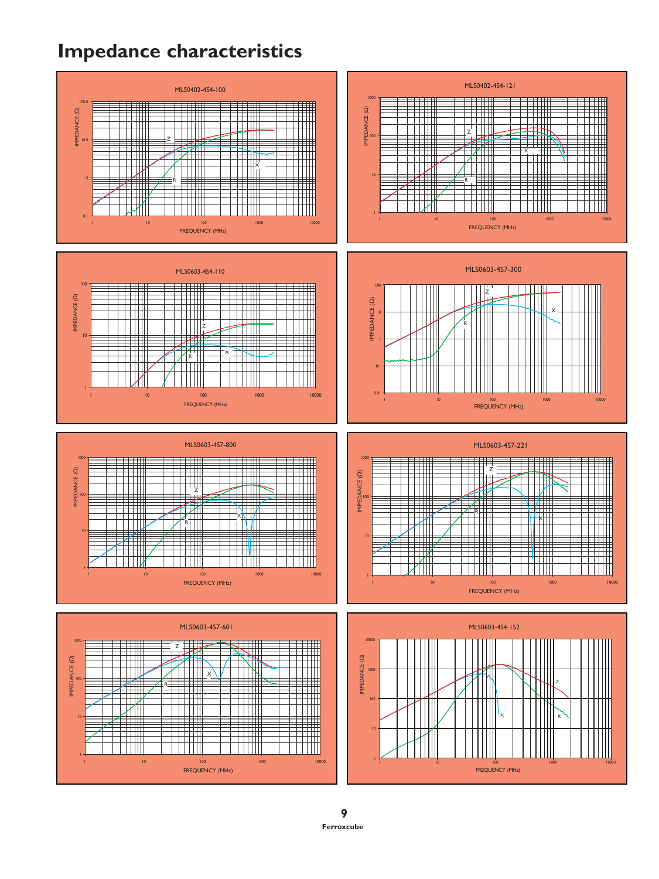## **Impedance characteristics**

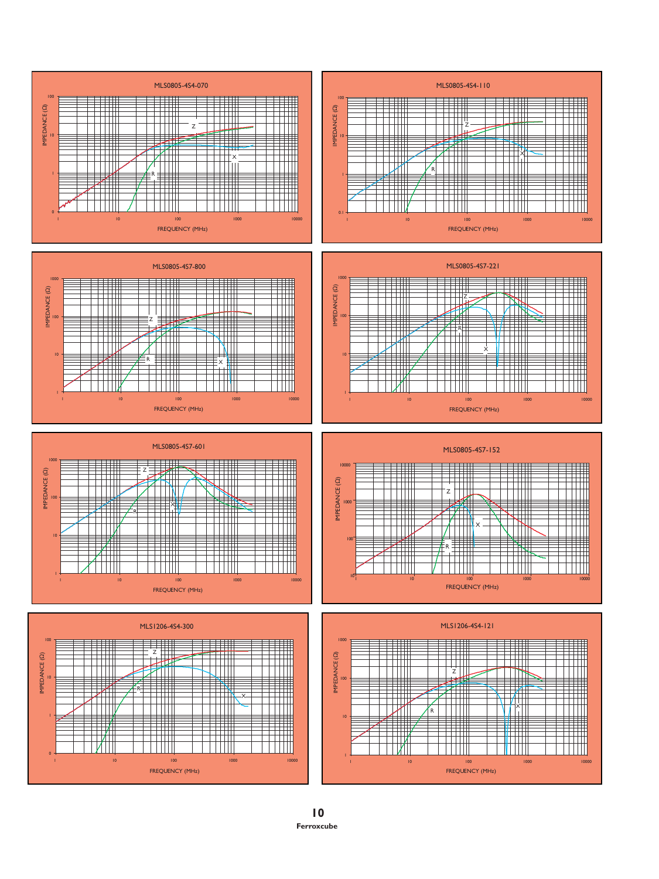

**<sup>10</sup> Ferroxcube**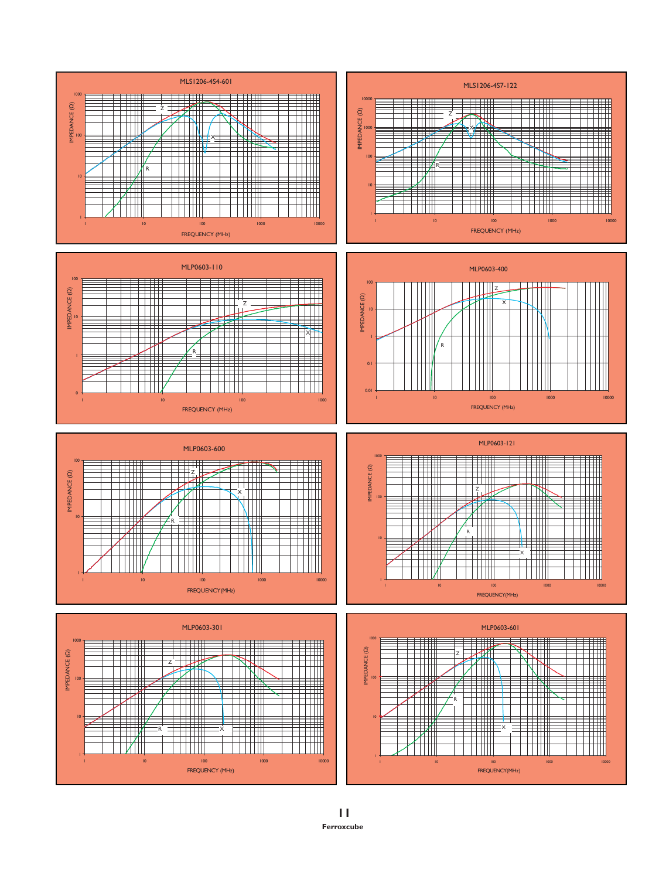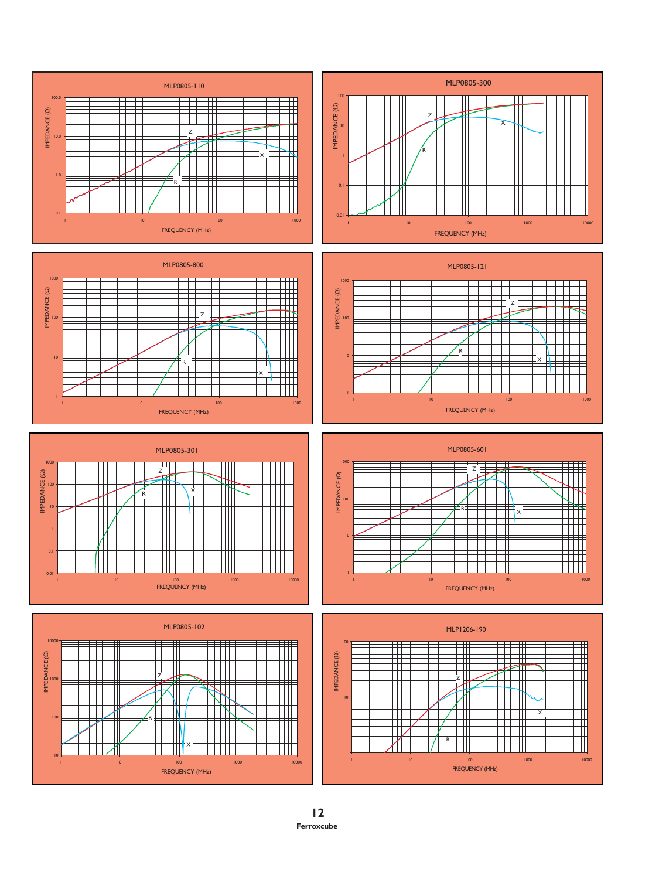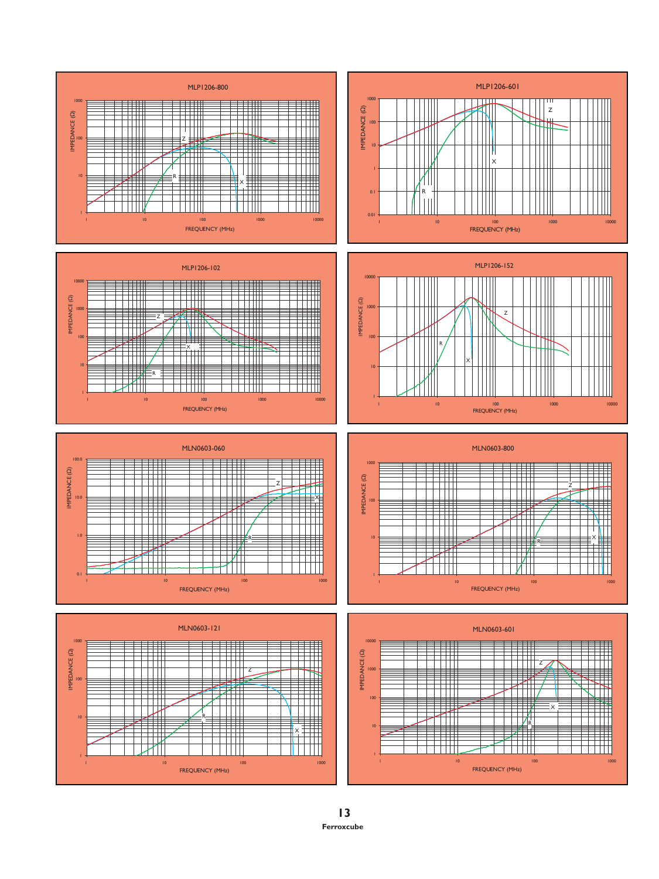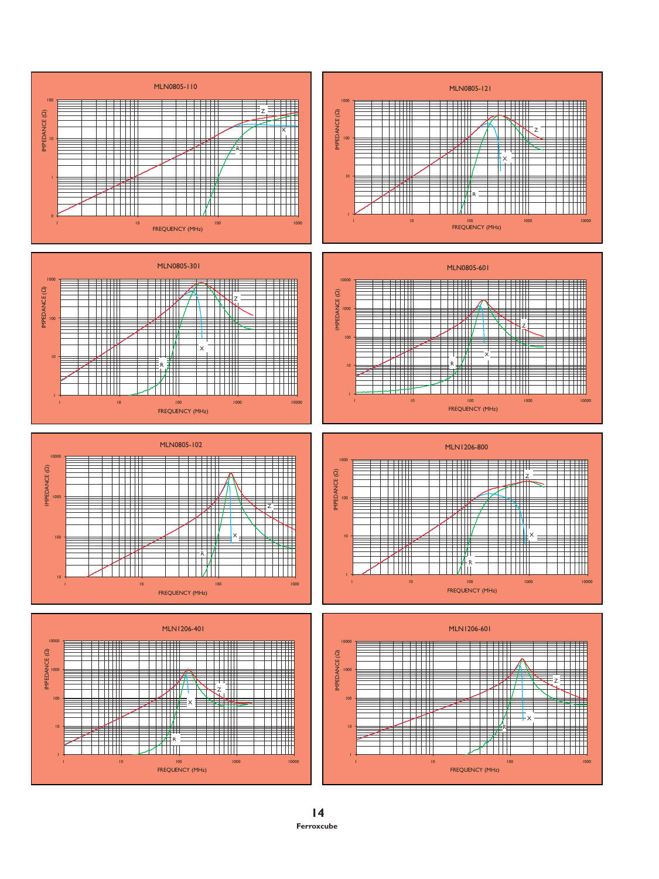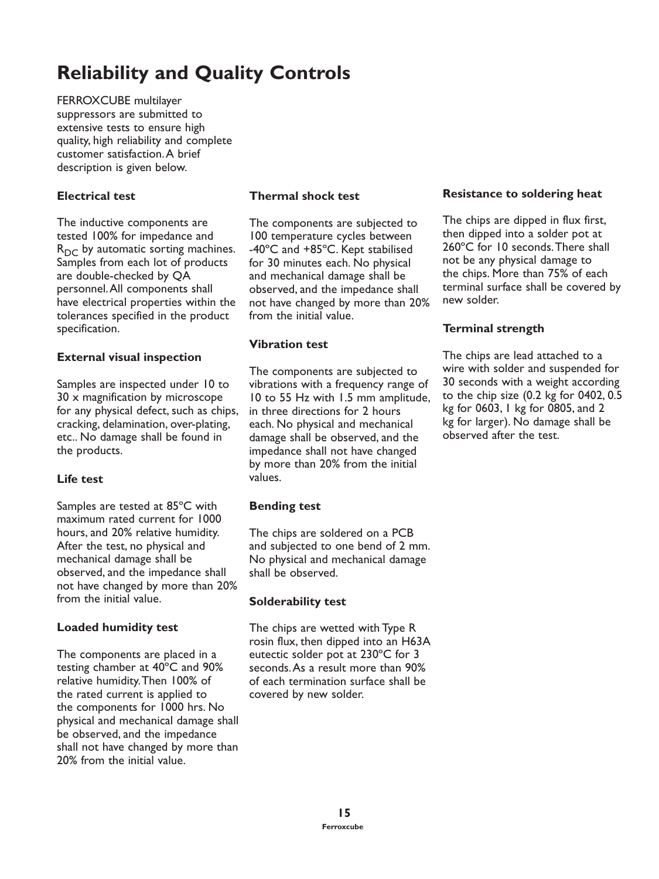## **Reliability and Quality Controls**

FERROXCUBE multilayer suppressors are submitted to extensive tests to ensure high quality, high reliability and complete customer satisfaction. A brief description is given below.

#### **Electrical test**

The inductive components are tested 100% for impedance and  $R_{\text{DC}}$  by automatic sorting machines. Samples from each lot of products are double-checked by QA personnel. All components shall have electrical properties within the tolerances specified in the product specification.

#### **External visual inspection**

Samples are inspected under 10 to 30 x magnification by microscope for any physical defect, such as chips, cracking, delamination, over-plating, etc.. No damage shall be found in the products.

#### **Life test**

Samples are tested at 85ºC with maximum rated current for 1000 hours, and 20% relative humidity. After the test, no physical and mechanical damage shall be observed, and the impedance shall not have changed by more than 20% from the initial value.

#### **Loaded humidity test**

The components are placed in a testing chamber at 40ºC and 90% relative humidity. Then 100% of the rated current is applied to the components for 1000 hrs. No physical and mechanical damage shall be observed, and the impedance shall not have changed by more than 20% from the initial value.

#### **Thermal shock test**

The components are subjected to 100 temperature cycles between -40ºC and +85ºC. Kept stabilised for 30 minutes each. No physical and mechanical damage shall be observed, and the impedance shall not have changed by more than 20% from the initial value.

### **Vibration test**

The components are subjected to vibrations with a frequency range of 10 to 55 Hz with 1.5 mm amplitude, in three directions for 2 hours each. No physical and mechanical damage shall be observed, and the impedance shall not have changed by more than 20% from the initial values.

#### **Bending test**

The chips are soldered on a PCB and subjected to one bend of 2 mm. No physical and mechanical damage shall be observed.

#### **Solderability test**

The chips are wetted with Type R rosin flux, then dipped into an H63A eutectic solder pot at 230ºC for 3 seconds. As a result more than 90% of each termination surface shall be covered by new solder.

#### **Resistance to soldering heat**

The chips are dipped in flux first, then dipped into a solder pot at 260ºC for 10 seconds. There shall not be any physical damage to the chips. More than 75% of each terminal surface shall be covered by new solder.

#### **Terminal strength**

The chips are lead attached to a wire with solder and suspended for 30 seconds with a weight according to the chip size (0.2 kg for 0402, 0.5 kg for 0603, 1 kg for 0805, and 2 kg for larger). No damage shall be observed after the test.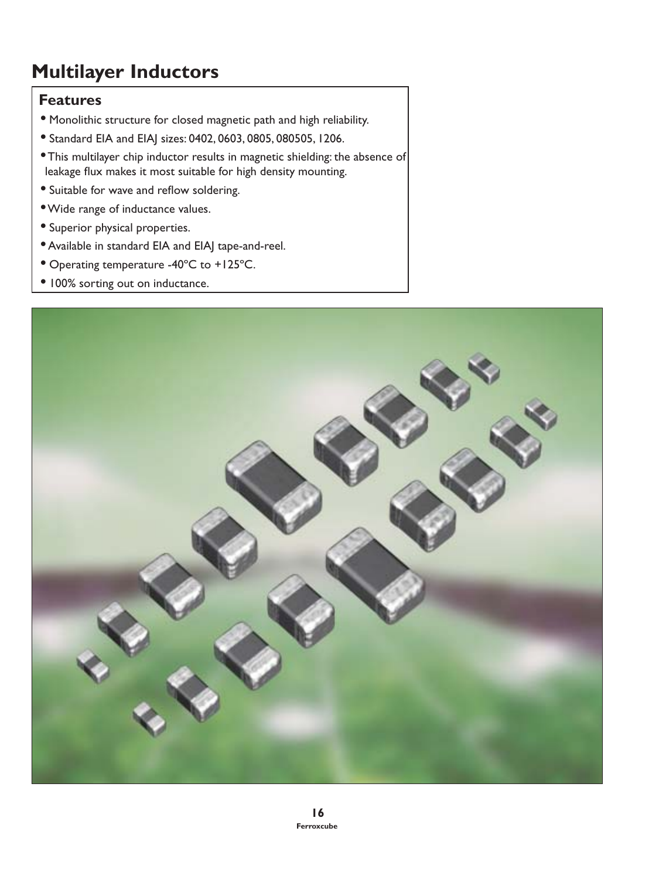## **Multilayer Inductors**

### **Features**

- Monolithic structure for closed magnetic path and high reliability.
- Standard EIA and EIAJ sizes: 0402, 0603, 0805, 080505, 1206.
- This multilayer chip inductor results in magnetic shielding: the absence of leakage flux makes it most suitable for high density mounting.
- Suitable for wave and reflow soldering.
- Wide range of inductance values.
- Superior physical properties.
- Available in standard EIA and EIAJ tape-and-reel.
- Operating temperature -40ºC to +125ºC.
- 100% sorting out on inductance.

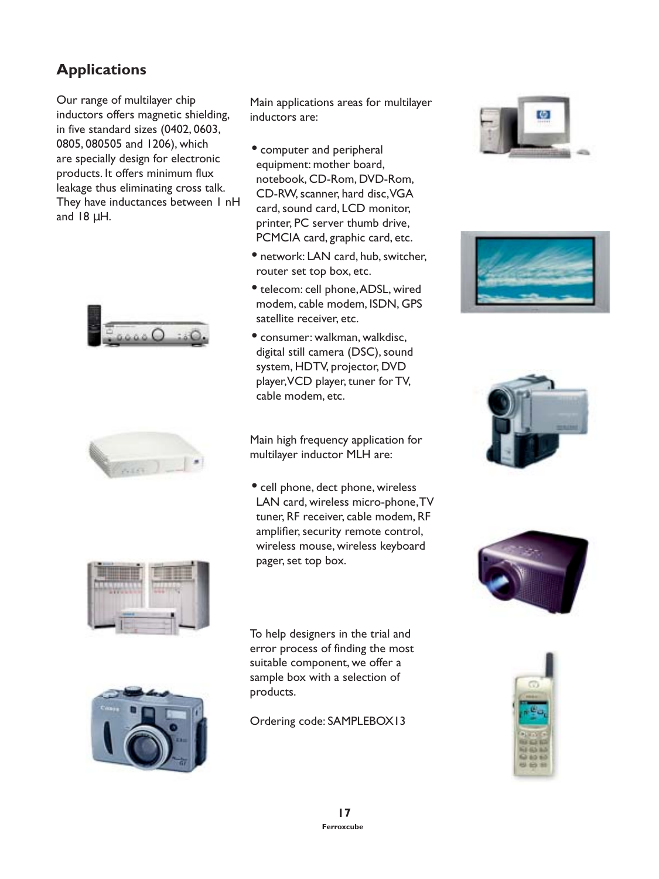## **Applications**

Our range of multilayer chip inductors offers magnetic shielding, in five standard sizes (0402, 0603, 0805, 080505 and 1206), which are specially design for electronic products. It offers minimum flux leakage thus eliminating cross talk. They have inductances between 1 nH and 18 µH.





Main applications areas for multilayer inductors are:

- computer and peripheral equipment: mother board, notebook, CD-Rom, DVD-Rom, CD-RW, scanner, hard disc, VGA card, sound card, LCD monitor, printer, PC server thumb drive, PCMCIA card, graphic card, etc.
- network: LAN card, hub, switcher, router set top box, etc.
- telecom: cell phone, ADSL, wired modem, cable modem, ISDN, GPS satellite receiver, etc.
- consumer: walkman, walkdisc, digital still camera (DSC), sound system, HDTV, projector, DVD player, VCD player, tuner for TV, cable modem, etc.

Main high frequency application for multilayer inductor MLH are:

• cell phone, dect phone, wireless LAN card, wireless micro-phone, TV tuner, RF receiver, cable modem, RF amplifier, security remote control, wireless mouse, wireless keyboard pager, set top box.



To help designers in the trial and error process of finding the most suitable component, we offer a sample box with a selection of products.

Ordering code: SAMPLEBOX13











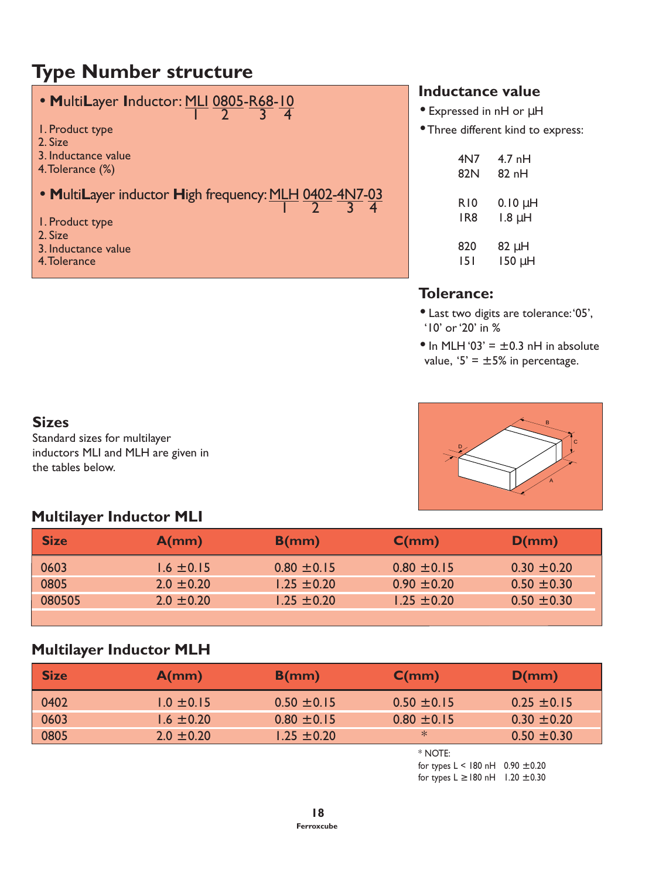## **Type Number structure**

| • MultiLayer Inductor: MLI 0805-R68-10                              |
|---------------------------------------------------------------------|
| I. Product type                                                     |
| 2. Size                                                             |
| 3. Inductance value                                                 |
| 4. Tolerance (%)                                                    |
|                                                                     |
| • MultiLayer inductor High frequency: $MLH$ $\frac{0402-4N7-03}{2}$ |
| I. Product type                                                     |
| 2. Size                                                             |
| 3. Inductance value<br>4. Tolerance                                 |

### **Inductance value**

- Expressed in nH or µH
- Three different kind to express:

| 4N7<br>82N   | 4.7 nH<br>82 nH             |
|--------------|-----------------------------|
| R I O<br>IR8 | $0.10 \mu H$<br>$1.8 \mu H$ |
| 820<br>151   | $82 \mu H$<br>$150 \mu H$   |

### **Tolerance:**

- Last two digits are tolerance: '05', '10' or '20' in %
- In MLH '03' =  $\pm$  0.3 nH in absolute value, ' $5' = \pm 5\%$  in percentage.

### **Sizes**

Standard sizes for multilayer inductors MLI and MLH are given in the tables below.



### **Multilayer Inductor MLI**

|                 |                                                | D(mm)           |
|-----------------|------------------------------------------------|-----------------|
| $0.80 \pm 0.15$ | $0.80 \pm 0.15$                                | $0.30 \pm 0.20$ |
| $1.25 + 0.20$   | $0.90 \pm 0.20$                                | $0.50 \pm 0.30$ |
| $1.25 + 0.20$   | $1.25 + 0.20$                                  | $0.50 \pm 0.30$ |
|                 | $1.6 + 0.15$<br>$2.0 + 0.20$<br>$2.0 \pm 0.20$ |                 |

### **Multilayer Inductor MLH**

| <b>Size</b> | A(mm)          | B/mm)           | C(mm)           | D(mm)           |
|-------------|----------------|-----------------|-----------------|-----------------|
| 0402        | $1.0 + 0.15$   | $0.50 \pm 0.15$ | $0.50 \pm 0.15$ | $0.25 + 0.15$   |
| 0603        | $1.6 \pm 0.20$ | $0.80 \pm 0.15$ | $0.80 \pm 0.15$ | $0.30 \pm 0.20$ |
| 0805        | $2.0 \pm 0.20$ | $1.25 \pm 0.20$ | $\ast$          | $0.50 \pm 0.30$ |

\* NOTE:

for types  $L < 180$  nH  $0.90 \pm 0.20$ for types  $L \ge 180$  nH  $1.20 \pm 0.30$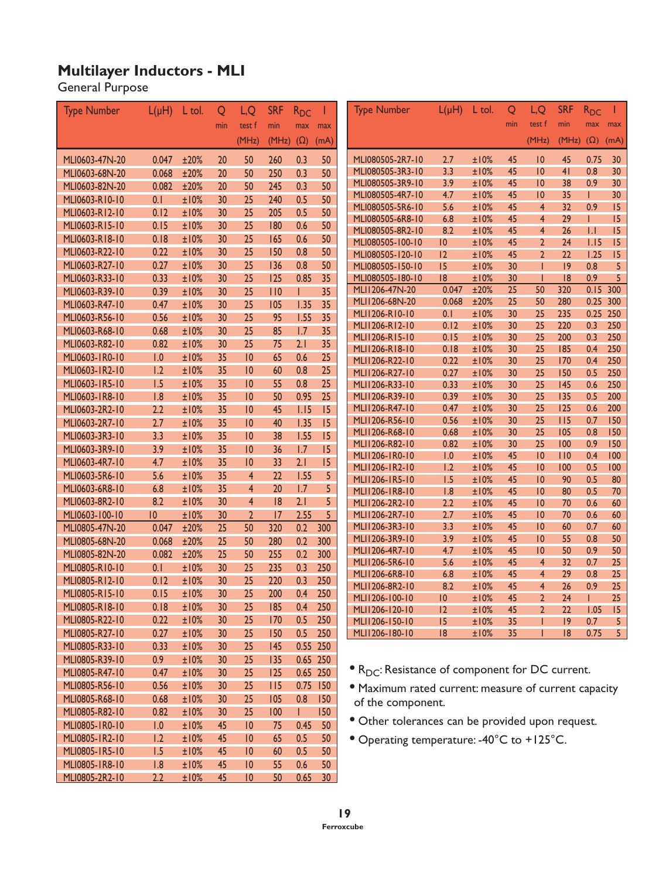## **Multilayer Inductors - MLI**

General Purpose

| <b>Type Number</b>               | $L(\mu H)$  | L tol. | Q        | L,Q             | <b>SRF</b> | R <sub>DC</sub> |      | <b>Type Number</b>                                                  | $L(\mu H)$      | L tol.       | O        | L, Q           | <b>SRF</b>         | $R_{DC}$          |                 |
|----------------------------------|-------------|--------|----------|-----------------|------------|-----------------|------|---------------------------------------------------------------------|-----------------|--------------|----------|----------------|--------------------|-------------------|-----------------|
|                                  |             |        | min      | test f          | min        | max             | max  |                                                                     |                 |              | min      | test f         | min                | max               | max             |
|                                  |             |        |          | (MHz)           | (MHz)      | $(\Omega)$      | (mA) |                                                                     |                 |              |          | (MHz)          | $(MHz)$ $(\Omega)$ |                   | (mA)            |
| MLI0603-47N-20                   | 0.047       | ±20%   | 20       | 50              | 260        | 0.3             | 50   | MLI080505-2R7-10                                                    | 2.7             | ±10%         | 45       | $ 0\rangle$    | 45                 | 0.75              | 30              |
| MLI0603-68N-20                   | 0.068       | ±20%   | 20       | 50              | 250        | 0.3             | 50   | MLI080505-3R3-10                                                    | 3.3             | ±10%         | 45       | 10             | 41                 | 0.8               | 30              |
| MLI0603-82N-20                   | 0.082       | ±20%   | 20       | 50              | 245        | 0.3             | 50   | MLI080505-3R9-10                                                    | 3.9             | ±10%         | 45       | $ 0\rangle$    | 38                 | 0.9               | 30 <sup>2</sup> |
| MLI0603-R10-10                   | 0.1         | ±10%   | 30       | 25              | 240        | 0.5             | 50   | MLI080505-4R7-10                                                    | 4.7             | ±10%         | 45       | $ 0\rangle$    | 35                 |                   | 30              |
| MLI0603-R12-10                   | 0.12        | ±10%   | 30       | 25              | 205        | 0.5             | 50   | MLI080505-5R6-10                                                    | 5.6             | ±10%         | 45       | $\overline{4}$ | 32                 | 0.9               | 15              |
| MLI0603-R15-10                   | 0.15        | ±10%   | 30       | 25              | 180        | 0.6             | 50   | MLI080505-6R8-10                                                    | 6.8             | ±10%         | 45       | $\overline{4}$ | 29                 |                   | 15              |
| MLI0603-R18-10                   | 0.18        | ±10%   | 30       | 25              | 165        | 0.6             | 50   | MLI080505-8R2-10                                                    | 8.2             | ±10%         | 45       | $\overline{4}$ | 26                 | $\mathbf{L}$      | 15              |
|                                  |             |        | 30       |                 |            |                 |      | MLI080505-100-10                                                    | $\overline{10}$ | ±10%         | 45       | $\overline{2}$ | 24                 | 1.15              | 15              |
| MLI0603-R22-10                   | 0.22        | ±10%   |          | 25<br>25        | 150        | 0.8             | 50   | MLI080505-120-10                                                    | 12              | ±10%         | 45       | $\overline{2}$ | 22                 | 1.25              | 15              |
| MLI0603-R27-10                   | 0.27        | ±10%   | 30       |                 | 136        | 0.8             | 50   | MLI080505-150-10                                                    | 15<br> 8        | ±10%         | 30       | 1              | 9<br> 8            | 0.8               | 5               |
| MLI0603-R33-10                   | 0.33        | ±10%   | 30       | 25              | 125        | 0.85            | 35   | MLI080505-180-10<br>MLI1206-47N-20                                  | 0.047           | ±10%<br>±20% | 30<br>25 | 50             | 320                | 0.9<br>$0.15$ 300 | 5               |
| MLI0603-R39-10                   | 0.39        | ±10%   | 30       | 25              | 110        |                 | 35   | MLI1206-68N-20                                                      | 0.068           | ±20%         | 25       | 50             | 280                | 0.25              | 300             |
| MLI0603-R47-10                   | 0.47        | ±10%   | 30       | 25              | 105        | 1.35            | 35   | MLI1206-R10-10                                                      | 0.1             | ±10%         | 30       | 25             | 235                | 0.25              | 250             |
| MLI0603-R56-10                   | 0.56        | ±10%   | 30       | 25              | 95         | 1.55            | 35   | MLI1206-R12-10                                                      | 0.12            | ±10%         | 30       | 25             | 220                | 0.3               | 250             |
| MLI0603-R68-10                   | 0.68        | ±10%   | 30       | 25              | 85         | 1.7             | 35   | MLI1206-R15-10                                                      | 0.15            | ±10%         | 30       | 25             | 200                | 0.3               | 250             |
| MLI0603-R82-10                   | 0.82        | ±10%   | 30       | 25              | 75         | 2.1             | 35   | MLI1206-R18-10                                                      | 0.18            | ±10%         | 30       | 25             | 185                | 0.4               | 250             |
| MLI0603-1R0-10                   | 1.0         | ±10%   | 35       | 10              | 65         | 0.6             | 25   | MLI1206-R22-10                                                      | 0.22            | ±10%         | 30       | 25             | 170                | 0.4               | 250             |
| MLI0603-1R2-10                   | 1.2         | ±10%   | 35       | 10              | 60         | 0.8             | 25   | MLI1206-R27-10                                                      | 0.27            | ±10%         | 30       | 25             | 150                | 0.5               | 250             |
| MLI0603-1R5-10                   | 1.5         | ±10%   | 35       | 10              | 55         | 0.8             | 25   | MLI1206-R33-10                                                      | 0.33            | ±10%         | 30       | 25             | 145                | 0.6               | 250             |
| MLI0603-1R8-10                   | 1.8         | ±10%   | 35       | 10              | 50         | 0.95            | 25   | MLI1206-R39-10                                                      | 0.39            | ±10%         | 30       | 25             | 135                | 0.5               | 200             |
| MLI0603-2R2-10                   | 2.2         | ±10%   | 35       | 10              | 45         | 1.15            | 15   | MLI1206-R47-10                                                      | 0.47            | ±10%         | 30       | 25             | 125                | 0.6               | 200             |
| MLI0603-2R7-10                   | 2.7         | ±10%   | 35       | 10              | 40         | 1.35            | 15   | MLI1206-R56-10                                                      | 0.56            | ±10%         | 30       | 25             | 115                | 0.7               | 150             |
| MLI0603-3R3-10                   | 3.3         | ±10%   | 35       | $\overline{10}$ | 38         | 1.55            | 15   | MLI1206-R68-10                                                      | 0.68            | ±10%         | 30       | 25             | 105                | 0.8               | 150             |
| MLI0603-3R9-10                   | 3.9         | ±10%   | 35       | $\overline{10}$ | 36         | 1.7             | 15   | MLI1206-R82-10                                                      | 0.82            | ±10%         | 30       | 25             | 100                | 0.9               | 150             |
| MLI0603-4R7-10                   | 4.7         | ±10%   | 35       | $\overline{10}$ | 33         | 2.1             | 15   | MLI1206-1R0-10                                                      | 1.0             | ±10%         | 45       | 10<br>10       | 110                | 0.4               | 100             |
| MLI0603-5R6-10                   | 5.6         | ±10%   | 35       | $\overline{4}$  | 22         | 1.55            | 5    | MLI1206-1R2-10<br>MLI1206-1R5-10                                    | 1.2<br>1.5      | ±10%<br>±10% | 45<br>45 | 10             | 100<br>90          | 0.5<br>0.5        | 100<br>80       |
| MLI0603-6R8-10                   | 6.8         | ±10%   | 35       | $\overline{4}$  | 20         | 1.7             | 5    | MLI1206-1R8-10                                                      | 1.8             | ±10%         | 45       | 10             | 80                 | 0.5               | 70              |
| MLI0603-8R2-10                   | 8.2         | ±10%   | 30       | $\overline{4}$  | 8          | 2.1             | 5    | MLI1206-2R2-10                                                      | 2.2             | ±10%         | 45       | 10             | 70                 | 0.6               | 60              |
| MLI0603-100-10                   | $ 0\rangle$ | ±10%   | 30       | $\overline{2}$  | 17         | 2.55            | 5    | MLI1206-2R7-10                                                      | 2.7             | ±10%         | 45       | $ 0\rangle$    | 70                 | 0.6               | 60              |
| MLI0805-47N-20                   | 0.047       | ±20%   | 25       | 50              | 320        | 0.2             | 300  | MLI1206-3R3-10                                                      | 3.3             | ±10%         | 45       | $ 0\rangle$    | 60                 | 0.7               | 60              |
| MLI0805-68N-20                   | 0.068       | ±20%   | 25       | 50              | 280        | 0.2             | 300  | MLI1206-3R9-10                                                      | 3.9             | ±10%         | 45       | 10             | 55                 | 0.8               | 50              |
| MLI0805-82N-20                   | 0.082       | ±20%   | 25       | 50              | 255        | 0.2             | 300  | MLI1206-4R7-10                                                      | 4.7             | ±10%         | 45       | 10             | 50                 | 0.9               | 50              |
| MLI0805-R10-10                   | 0.1         | ±10%   | 30       | 25              | 235        | 0.3             | 250  | MLI1206-5R6-10                                                      | 5.6             | ±10%         | 45       | $\overline{4}$ | 32                 | 0.7               | 25              |
| MLI0805-R12-10                   | 0.12        | ±10%   | 30       | 25              | 220        | 0.3             | 250  | MLI1206-6R8-10                                                      | 6.8             | ±10%         | 45       | 4              | 29                 | 0.8               | 25              |
| MLI0805-R15-10                   | 0.15        | ±10%   | 30       | 25              | 200        | 0.4             | 250  | MLI1206-8R2-10                                                      | 8.2             | ±10%         | 45       | $\overline{4}$ | 26                 | 0.9               | 25              |
| MLI0805-R18-10                   | 0.18        | ±10%   | 30       | 25              | 185        | 0.4             | 250  | MLI1206-100-10                                                      | 10              | ±10%         | 45       | $\overline{2}$ | 24                 |                   | 25              |
| MLI0805-R22-10                   | 0.22        | ±10%   | 30       | 25              | 170        | 0.5             | 250  | MLI1206-120-10                                                      | 12              | ±10%         | 45       | $\overline{2}$ | 22                 | 1.05              | 15              |
| MLI0805-R27-10                   | 0.27        | ±10%   | 30       | 25              | 150        | 0.5             | 250  | MLI1206-150-10                                                      | 15              | ±10%         | 35       |                | 9                  | 0.7               | 5               |
|                                  | 0.33        |        |          | 25              | 145        | 0.55 250        |      | MLI1206-180-10                                                      | 8               | ±10%         | 35       |                | 8                  | 0.75              | 5 <sup>7</sup>  |
| MLI0805-R33-10<br>MLI0805-R39-10 | 0.9         | ±10%   | 30<br>30 |                 | 135        |                 |      |                                                                     |                 |              |          |                |                    |                   |                 |
|                                  |             | ±10%   |          | 25              |            | 0.65 250        |      | $\bullet$ R <sub>DC</sub> : Resistance of component for DC current. |                 |              |          |                |                    |                   |                 |
| MLI0805-R47-10                   | 0.47        | ±10%   | 30       | 25              | 125        | $0.65$ 250      |      |                                                                     |                 |              |          |                |                    |                   |                 |
| MLI0805-R56-10                   | 0.56        | ±10%   | 30       | 25              | 115        | $0.75$ 150      |      | • Maximum rated current: measure of current capacity                |                 |              |          |                |                    |                   |                 |
| MLI0805-R68-10                   | 0.68        | ±10%   | 30       | 25              | 105        | 0.8             | 150  | of the component.                                                   |                 |              |          |                |                    |                   |                 |
| MLI0805-R82-10                   | 0.82        | ±10%   | 30       | 25              | 100        | I.              | 150  | • Other tolerances can be provided upon request.                    |                 |              |          |                |                    |                   |                 |
| MLI0805-1R0-10                   | 1.0         | ±10%   | 45       | $ 0\rangle$     | 75         | 0.45            | 50   |                                                                     |                 |              |          |                |                    |                   |                 |
| MLI0805-1R2-10                   | 1.2         | ±10%   | 45       | 10              | 65         | 0.5             | 50   | • Operating temperature: -40°C to +125°C.                           |                 |              |          |                |                    |                   |                 |
| MLI0805-1R5-10                   | 1.5         | ±10%   | 45       | 10              | 60         | 0.5             | 50   |                                                                     |                 |              |          |                |                    |                   |                 |
| MLI0805-1R8-10                   | 1.8         | ±10%   | 45       | 10              | 55         | 0.6             | 50   |                                                                     |                 |              |          |                |                    |                   |                 |

MLI0805-2R2-10 2.2 ±10% 45 10 50 0.65 30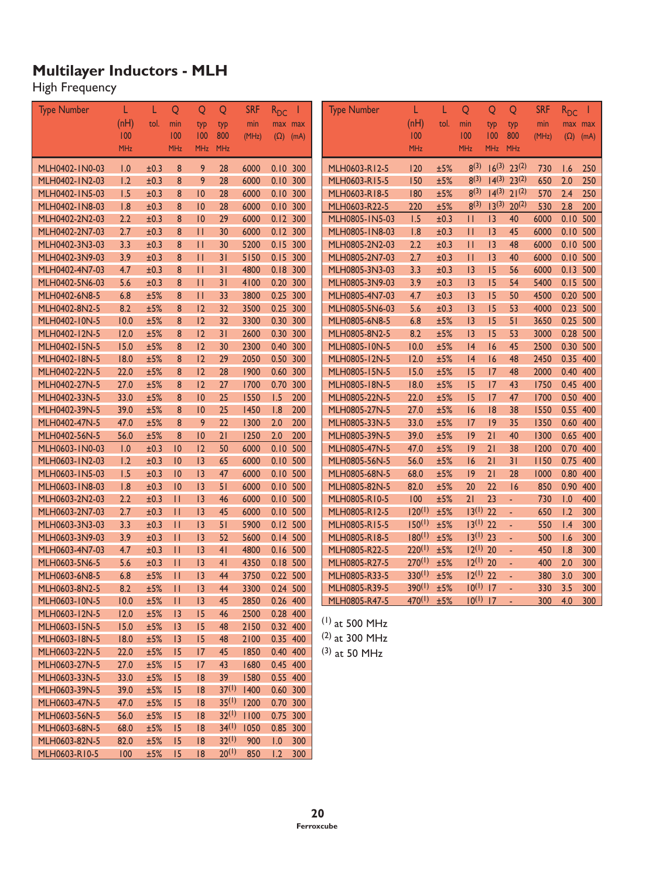## **Multilayer Inductors - MLH**

High Frequency

| <b>Type Number</b> | L          | L         | Q               | Q               | Q          | <b>SRF</b>      | R <sub>DC</sub>      |           | <b>Type Number</b> | L                           | L    | O             | Q          | Q                            | <b>SRF</b> | R <sub>DC</sub> |          |
|--------------------|------------|-----------|-----------------|-----------------|------------|-----------------|----------------------|-----------|--------------------|-----------------------------|------|---------------|------------|------------------------------|------------|-----------------|----------|
|                    | (nH)       | tol.      | min             | typ             | typ        | min             |                      | max max   |                    | (nH)                        | tol. | min           | typ        | typ                          | min        | max             | max      |
|                    | 100        |           | 100             | 100             | 800        | (MHz)           | $(\Omega)$           | (mA)      |                    | 100                         |      | 100           | 100        | 800                          | (MHz)      | $(\Omega)$      | (mA)     |
|                    | <b>MHz</b> |           | <b>MHz</b>      | <b>MHz</b>      | <b>MHz</b> |                 |                      |           |                    | <b>MHz</b>                  |      | <b>MHz</b>    | <b>MHz</b> | <b>MHz</b>                   |            |                 |          |
| MLH0402-IN0-03     | 1.0        | ±0.3      | 8               | 9               | 28         | 6000            | $0.10$ 300           |           | MLH0603-R12-5      | 120                         | ±5%  | $8^{(3)}$     |            | $16^{(3)}$ 23 <sup>(2)</sup> | 730        | 1.6             | 250      |
| MLH0402-1N2-03     | 1.2        | ±0.3      | 8               | 9               | 28         | 6000            | 0.10                 | 300       | MLH0603-R15-5      | 150                         | ±5%  | $8^{(3)}$     |            | $14^{(3)}$ 23 <sup>(2)</sup> | 650        | 2.0             | 250      |
| MLH0402-1N5-03     | 1.5        | ±0.3      | 8               | $\overline{10}$ | 28         | 6000            | 0.10                 | 300       | MLH0603-R18-5      | 180                         | ±5%  | $8^{(3)}$     | $14^{(3)}$ | 2(2)                         | 570        | 2.4             | 250      |
| MLH0402-1N8-03     | 1.8        | ±0.3      | 8               | $\overline{10}$ | 28         | 6000            | 0.10                 | 300       | MLH0603-R22-5      | 220                         | ±5%  | $8^{(3)}$     | $13^{(3)}$ | $20^{(2)}$                   | 530        | 2.8             | 200      |
| MLH0402-2N2-03     | 2.2        | ±0.3      | 8               | $\overline{10}$ | 29         | 6000            | 0.12 300             |           | MLH0805-1N5-03     | 1.5                         | ±0.3 | П             | 13         | 40                           | 6000       | 0.10            | 500      |
| MLH0402-2N7-03     | 2.7        | ±0.3      | 8               | П               | 30         | 6000            | 0.12 300             |           | MLH0805-1N8-03     | 1.8                         | ±0.3 | П             | 3          | 45                           | 6000       | 0.10            | 500      |
| MLH0402-3N3-03     | 3.3        | ±0.3      | 8               | П               | 30         | 5200            | 0.15                 | 300       | MLH0805-2N2-03     | 2.2                         | ±0.3 | $\mathbf{H}$  | 3          | 48                           | 6000       | 0.10            | 500      |
| MLH0402-3N9-03     | 3.9        | ±0.3      | 8               | П               | 31         | 5150            | 0.15                 | 300       | MLH0805-2N7-03     | 2.7                         | ±0.3 | $\mathbf{H}$  | 3          | 40                           | 6000       | 0.10            | 500      |
| MLH0402-4N7-03     | 4.7        | ±0.3      | 8               | П               | 31         | 4800            | 0.18                 | 300       | MLH0805-3N3-03     | 3.3                         | ±0.3 | 3             | 15         | 56                           | 6000       | 0.13            | 500      |
| MLH0402-5N6-03     |            | ±0.3      | 8               | П               | 31         | 4100            |                      | 0.20 300  | MLH0805-3N9-03     | 3.9                         | ±0.3 | 3             | 15         | 54                           | 5400       | 0.15            | 500      |
|                    | 5.6<br>6.8 |           |                 | П               | 33         |                 |                      |           |                    |                             |      |               | 15         | 50                           |            |                 |          |
| MLH0402-6N8-5      |            | ±5%       | 8               |                 |            | 3800            | 0.25 300<br>0.25 300 |           | MLH0805-4N7-03     | 4.7                         | ±0.3 | 3             | 15         |                              | 4500       | 0.23 500        | 0.20 500 |
| MLH0402-8N2-5      | 8.2        | ±5%       | 8               | 2               | 32         | 3500            |                      |           | MLH0805-5N6-03     | 5.6                         | ±0.3 | 3             |            | 53                           | 4000       |                 |          |
| MLH0402-10N-5      | 10.0       | ±5%       | 8               | 2               | 32         | 3300            | 0.30 <sub>1</sub>    | 300       | MLH0805-6N8-5      | 6.8                         | ±5%  | 3             | 15         | 51                           | 3650       | 0.25            | 500      |
| MLH0402-12N-5      | 12.0       | ±5%       | 8               | 12              | 31         | 2600            | 0.30 300             |           | MLH0805-8N2-5      | 8.2                         | ±5%  | 3             | 15         | 53                           | 3000       |                 | 0.28 500 |
| MLH0402-15N-5      | 15.0       | ±5%       | 8               | 2               | 30         | 2300            | 0.40                 | 300       | MLH0805-10N-5      | 10.0                        | ±5%  | 4             | 6          | 45                           | 2500       | 0.30            | 500      |
| MLH0402-18N-5      | 18.0       | ±5%       | 8               | 12              | 29         | 2050            | 0.50 300             |           | MLH0805-12N-5      | 12.0                        | ±5%  | 4             | 16         | 48                           | 2450       | 0.35            | 400      |
| MLH0402-22N-5      | 22.0       | ±5%       | 8               | 2               | 28         | 1900            | 0.60 300             |           | MLH0805-15N-5      | 15.0                        | ±5%  | 15            | 17         | 48                           | 2000       | 0.40            | 400      |
| MLH0402-27N-5      | 27.0       | ±5%       | 8               | 12              | 27         | 1700            | 0.70                 | 300       | MLH0805-18N-5      | 18.0                        | ±5%  | 15            | 17         | 43                           | 1750       | 0.45            | 400      |
| MLH0402-33N-5      | 33.0       | ±5%       | 8               | 10              | 25         | 1550            | 1.5                  | 200       | MLH0805-22N-5      | 22.0                        | ±5%  | 15            | 17         | 47                           | 1700       | 0.50            | 400      |
| MLH0402-39N-5      | 39.0       | ±5%       | 8               | $\overline{10}$ | 25         | 1450            | 1.8                  | 200       | MLH0805-27N-5      | 27.0                        | ±5%  | 16            | 8          | 38                           | 1550       | 0.55            | 400      |
| MLH0402-47N-5      | 47.0       | ±5%       | 8               | 9               | 22         | 1300            | 2.0                  | 200       | MLH0805-33N-5      | 33.0                        | ±5%  | 7             | 9          | 35                           | 1350       | 0.60            | 400      |
| MLH0402-56N-5      | 56.0       | ±5%       | 8               | 10              | 21         | 1250            | 2.0                  | 200       | MLH0805-39N-5      | 39.0                        | ±5%  | 9             | 21         | 40                           | 1300       | 0.65            | 400      |
| MLH0603-IN0-03     | 1.0        | ±0.3      | 10              | 2               | 50         | 6000            | 0.10                 | 500       | MLH0805-47N-5      | 47.0                        | ±5%  | 9             | 21         | 38                           | 1200       | 0.70 400        |          |
| MLH0603-IN2-03     | 1.2        | ±0.3      | $\overline{10}$ | 3               | 65         | 6000            | 0.10                 | 500       | MLH0805-56N-5      | 56.0                        | ±5%  | 16            | 21         | 31                           | 1150       | 0.75            | 400      |
| MLH0603-IN5-03     | 1.5        | ±0.3      | 10              | 3               | 47         | 6000            | 0.10                 | 500       | MLH0805-68N-5      | 68.0                        | ±5%  | 9             | 21         | 28                           | 1000       | 0.80            | 400      |
| MLH0603-1N8-03     | 1.8        | ±0.3      | 10              | 3               | 51         | 6000            | 0.10 500             |           | MLH0805-82N-5      | 82.0                        | ±5%  | 20            | 22         | 16                           | 850        | 0.90            | 400      |
| MLH0603-2N2-03     | 2.2        | ±0.3      | П               | 3               | 46         | 6000            | 0.10                 | 500       | MLH0805-R10-5      | 100                         | ±5%  | 21            | 23         | $\blacksquare$               | 730        | 1.0             | 400      |
| MLH0603-2N7-03     | 2.7        | ±0.3      | $\mathbf{H}$    | 3               | 45         | 6000            | 0.10                 | 500       | MLH0805-R12-5      | $120^{(1)}$                 | ±5%  | $13^{(1)}$    | 22         | ÷,                           | 650        | 1.2             | 300      |
| MLH0603-3N3-03     | 3.3        | ±0.3      | П               | $\overline{13}$ | 51         | 5900            | 0.12 500             |           | MLH0805-R15-5      | $150^{(1)}$                 | ±5%  | $13^{(1)}$ 22 |            | $\blacksquare$               | 550        | 1.4             | 300      |
| MLH0603-3N9-03     | 3.9        | ±0.3      | П               | 3               | 52         | 5600            | $0.14$ 500           |           | MLH0805-R18-5      | $180^{(1)}$                 | ±5%  | $13^{(1)}$ 23 |            |                              | 500        | 1.6             | 300      |
| MLH0603-4N7-03     | 4.7        | ±0.3      | $\mathbf{H}$    | 3               | 41         | 4800            | 0.16 500             |           | MLH0805-R22-5      | $220^{(1)}$                 | ±5%  | $12^{(1)}$ 20 |            | ä,                           | 450        | 1.8             | 300      |
| MLH0603-5N6-5      | 5.6        | ±0.3      | $\mathbf{H}$    | 3               | 41         | 4350            | 0.18 500             |           | MLH0805-R27-5      | $270^{(1)}$                 | ±5%  | $12^{(1)}$ 20 |            | ä,                           | 400        | 2.0             | 300      |
| MLH0603-6N8-5      | 6.8        | ±5%       | П               | 3               | 44         | 3750            |                      | 0.22 500  | MLH0805-R33-5      | $330^{(1)}$                 | ±5%  | $12^{(1)}$ 22 |            | ä,                           | 380        | 3.0             | 300      |
| MLH0603-8N2-5      | 8.2        | ±5%       | П               | 3               | 44         | 3300            | 0.24 500             |           | MLH0805-R39-5      | $390^{(1)}$                 | ±5%  | $10^{(1)}$ 17 |            |                              | 330        | 3.5             | 300      |
| MLH0603-10N-5      | 10.0       | ±5%       | П               | 3               | 45         | 2850            | 0.26 400             |           | MLH0805-R47-5      | $\frac{470^{(1)} + 5\%}{ }$ |      | $10^{(1)}$ 17 |            | $\sim$                       | 300        | 4.0 300         |          |
| MLH0603-12N-5      | 12.0       | ±5%       | 3               | 15              | 46         | 2500            |                      | 0.28 400  | $(1)$ at 500 MHz   |                             |      |               |            |                              |            |                 |          |
| MLH0603-15N-5      | 15.0       | ±5%       | 3               | 15              | 48         | 2150            |                      | 0.32 400  |                    |                             |      |               |            |                              |            |                 |          |
| MLH0603-18N-5      | 18.0       | ±5%       | 3               | 15              | 48         | 2100            |                      | 0.35 400  | $(2)$ at 300 MHz   |                             |      |               |            |                              |            |                 |          |
| MLH0603-22N-5      | 22.0       | ±5%       | 15              | 17              | 45         | 1850            |                      | 0.40 400  | $(3)$ at 50 MHz    |                             |      |               |            |                              |            |                 |          |
| MLH0603-27N-5      | 27.0       | $\pm 5\%$ | 15              | 17              | 43         | 1680            |                      | 0.45 400  |                    |                             |      |               |            |                              |            |                 |          |
| MLH0603-33N-5      | 33.0       | ±5%       | 15              | 8               | 39         | 1580            |                      | 0.55 400  |                    |                             |      |               |            |                              |            |                 |          |
| MLH0603-39N-5      | 39.0       | ±5%       | 15              | 8               | $37^{(1)}$ | 1400            | 0.60 300             |           |                    |                             |      |               |            |                              |            |                 |          |
| MLH0603-47N-5      | 47.0       | ±5%       | 15              | 8               |            | $35^{(1)}$ 1200 | 0.70 300             |           |                    |                             |      |               |            |                              |            |                 |          |
| MLH0603-56N-5      | 56.0       | ±5%       | 15              | 8               |            | $32^{(1)}$ 1100 | 0.75 300             |           |                    |                             |      |               |            |                              |            |                 |          |
| MLH0603-68N-5      | 68.0       | ±5%       | 15              | 8               |            | $34^{(1)}$ 1050 |                      | 0.85 300  |                    |                             |      |               |            |                              |            |                 |          |
| MLH0603-82N-5      | 82.0       | ±5%       | 15              | 8               | $32^{(1)}$ | 900             | 1.0                  | 300       |                    |                             |      |               |            |                              |            |                 |          |
| MLH0603-R10-5      | 100        | ±5%       | 15              | 8               | $20^{(1)}$ | 850             |                      | $1.2$ 300 |                    |                             |      |               |            |                              |            |                 |          |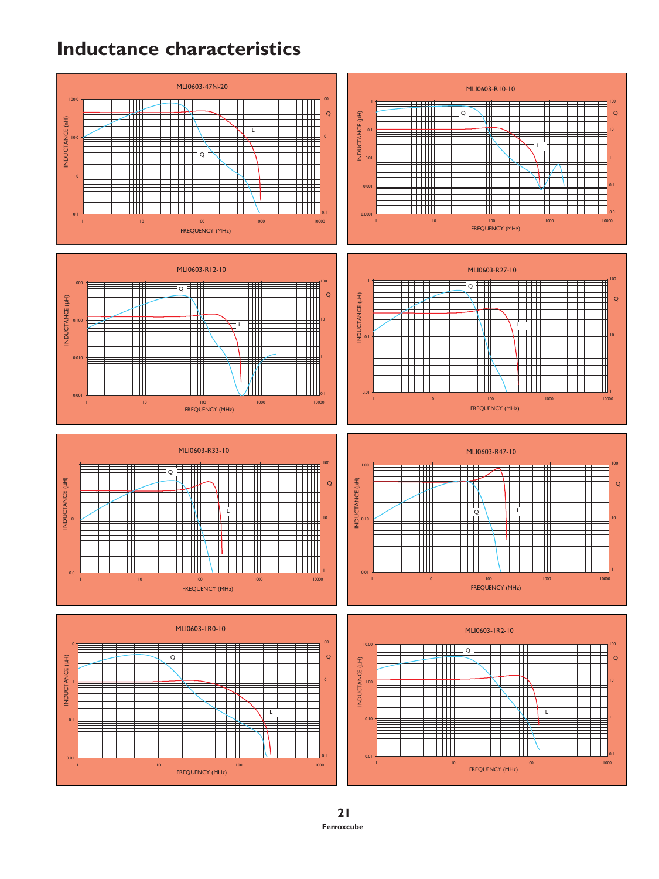## **Inductance characteristics**

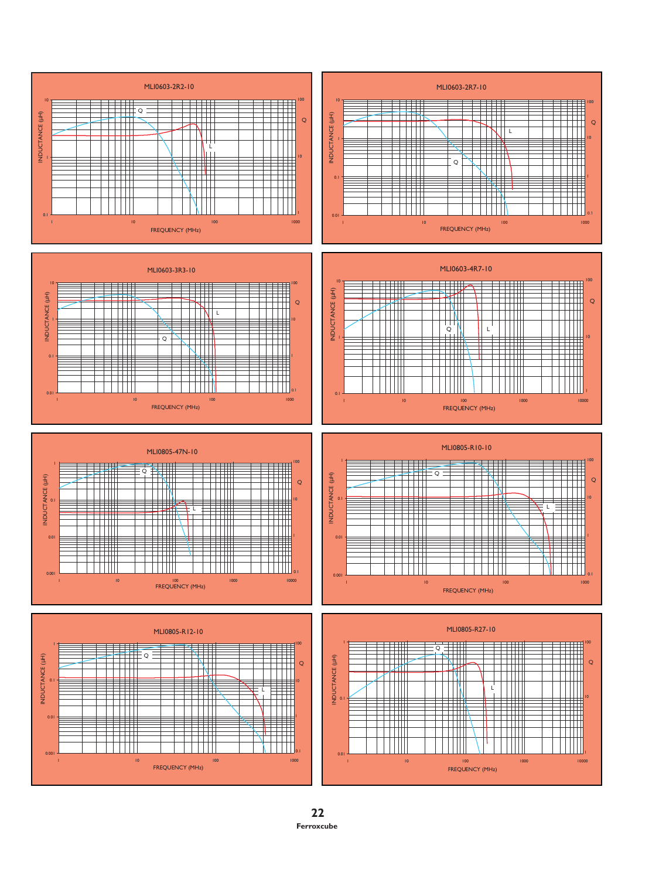

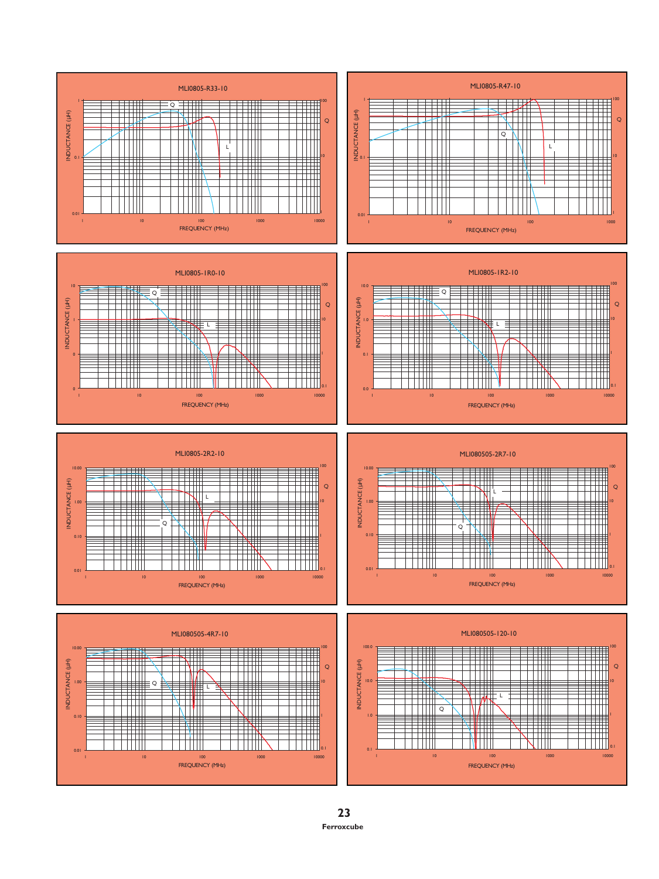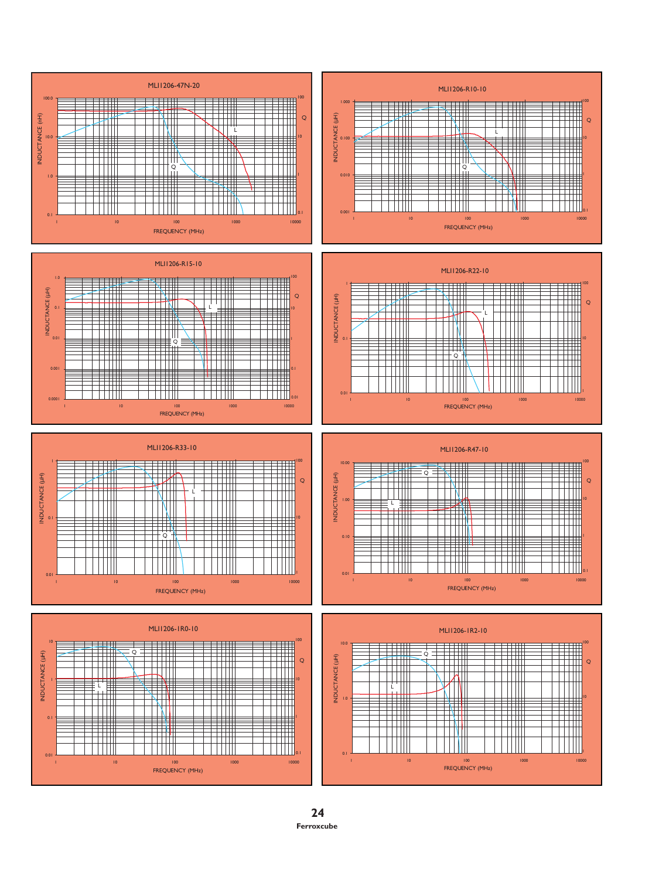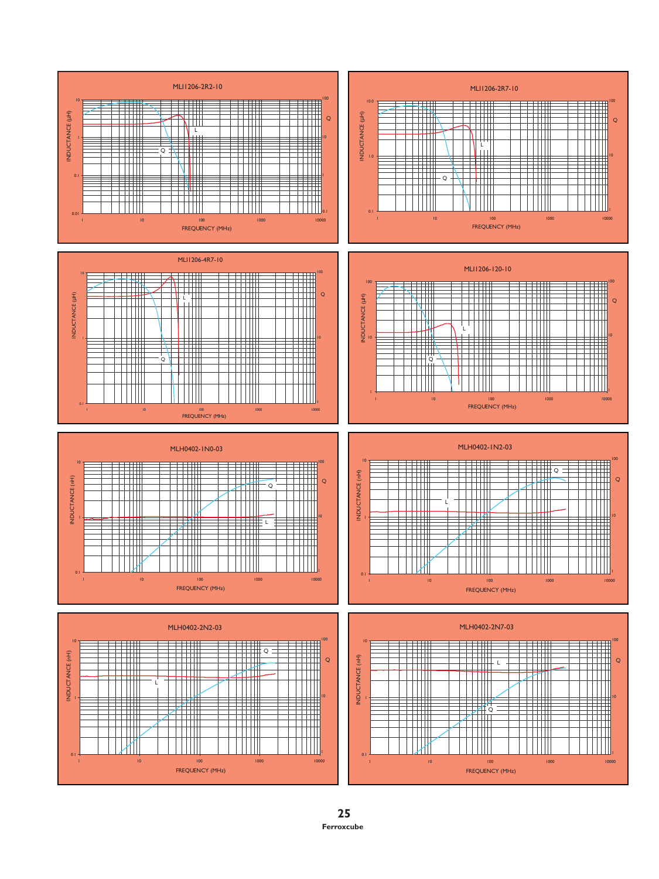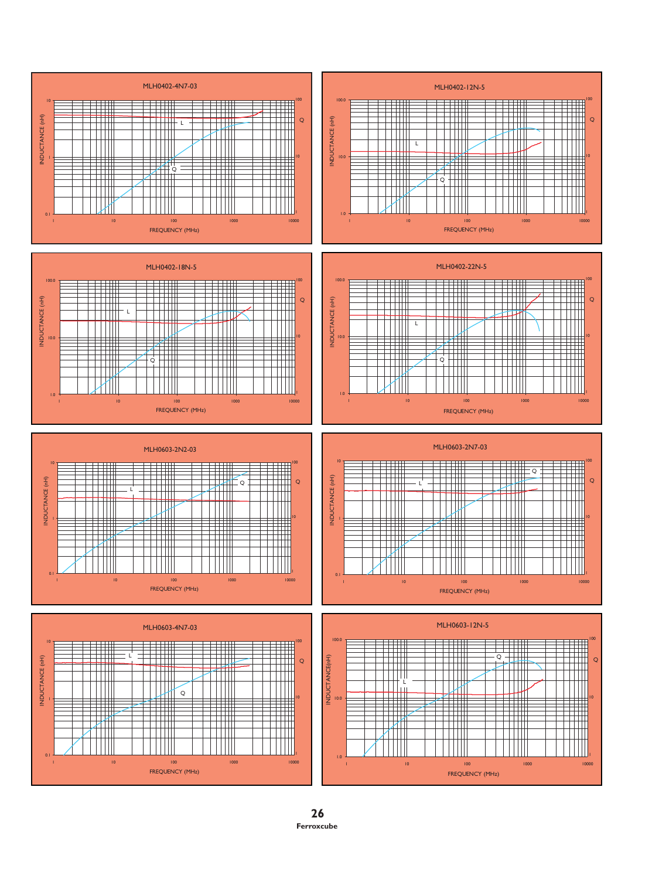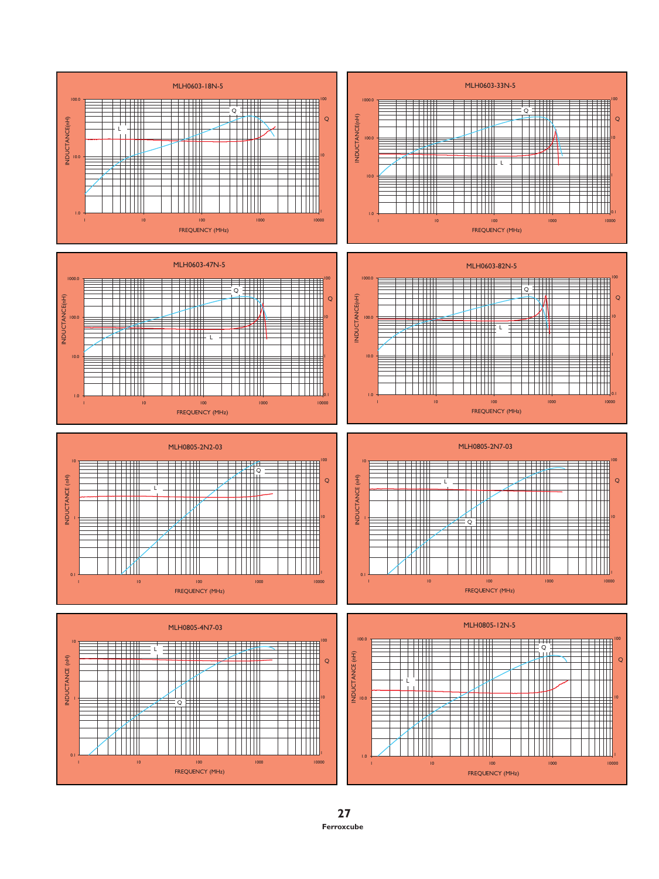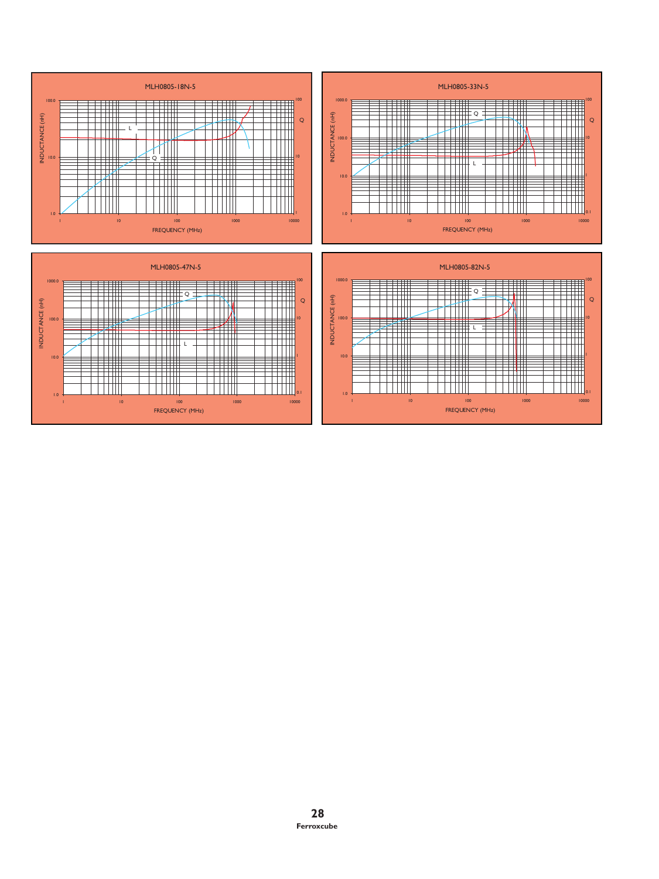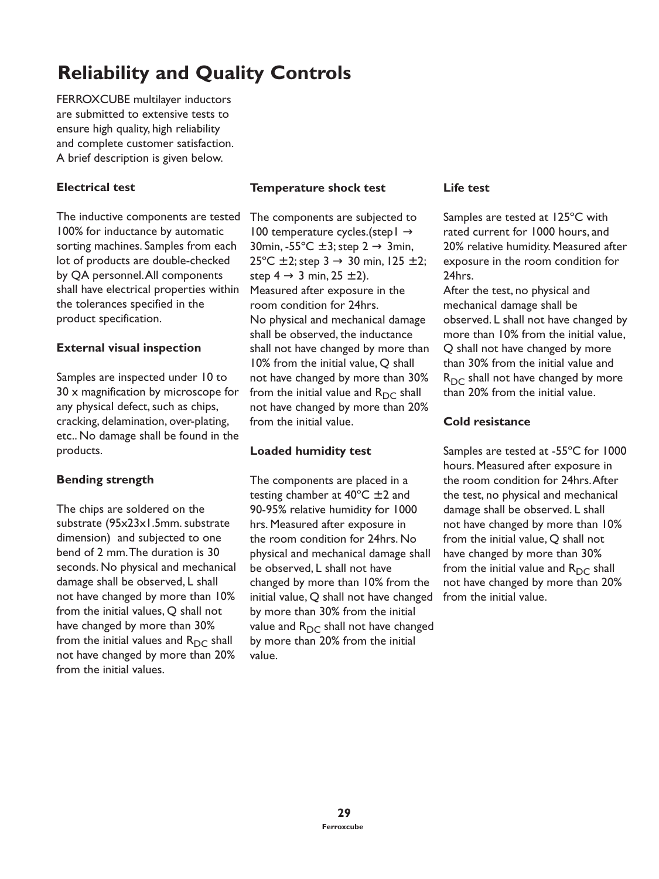## **Reliability and Quality Controls**

FERROXCUBE multilayer inductors are submitted to extensive tests to ensure high quality, high reliability and complete customer satisfaction. A brief description is given below.

### **Electrical test**

The inductive components are tested 100% for inductance by automatic sorting machines. Samples from each lot of products are double-checked by QA personnel. All components shall have electrical properties within the tolerances specified in the product specification.

#### **External visual inspection**

Samples are inspected under 10 to 30 x magnification by microscope for any physical defect, such as chips, cracking, delamination, over-plating, etc.. No damage shall be found in the products.

### **Bending strength**

The chips are soldered on the substrate (95x23x1.5mm. substrate dimension) and subjected to one bend of 2 mm. The duration is 30 seconds. No physical and mechanical damage shall be observed, L shall not have changed by more than 10% from the initial values, Q shall not have changed by more than 30% from the initial values and  $R_{DC}$  shall not have changed by more than 20% from the initial values.

#### **Temperature shock test**

The components are subjected to 100 temperature cycles.(step1 → 30min, -55 $^{\circ}$ C  $\pm$  3; step 2  $\rightarrow$  3min,  $25^{\circ}$ C  $\pm$  2; step 3  $\rightarrow$  30 min, 125  $\pm$  2; step  $4 \rightarrow 3$  min,  $25 \pm 2$ ). Measured after exposure in the room condition for 24hrs. No physical and mechanical damage shall be observed, the inductance shall not have changed by more than 10% from the initial value, Q shall not have changed by more than 30% from the initial value and  $R_{DC}$  shall not have changed by more than 20% from the initial value.

### **Loaded humidity test**

The components are placed in a testing chamber at  $40^{\circ}$ C  $\pm$  2 and 90-95% relative humidity for 1000 hrs. Measured after exposure in the room condition for 24hrs. No physical and mechanical damage shall be observed, L shall not have changed by more than 10% from the initial value, Q shall not have changed by more than 30% from the initial value and  $R_{DC}$  shall not have changed by more than 20% from the initial value.

#### **Life test**

Samples are tested at 125ºC with rated current for 1000 hours, and 20% relative humidity. Measured after exposure in the room condition for 24hrs.

After the test, no physical and mechanical damage shall be observed. L shall not have changed by more than 10% from the initial value, Q shall not have changed by more than 30% from the initial value and  $R_{DC}$  shall not have changed by more than 20% from the initial value.

### **Cold resistance**

Samples are tested at -55ºC for 1000 hours. Measured after exposure in the room condition for 24hrs. After the test, no physical and mechanical damage shall be observed. L shall not have changed by more than 10% from the initial value, Q shall not have changed by more than 30% from the initial value and  $R_{DC}$  shall not have changed by more than 20% from the initial value.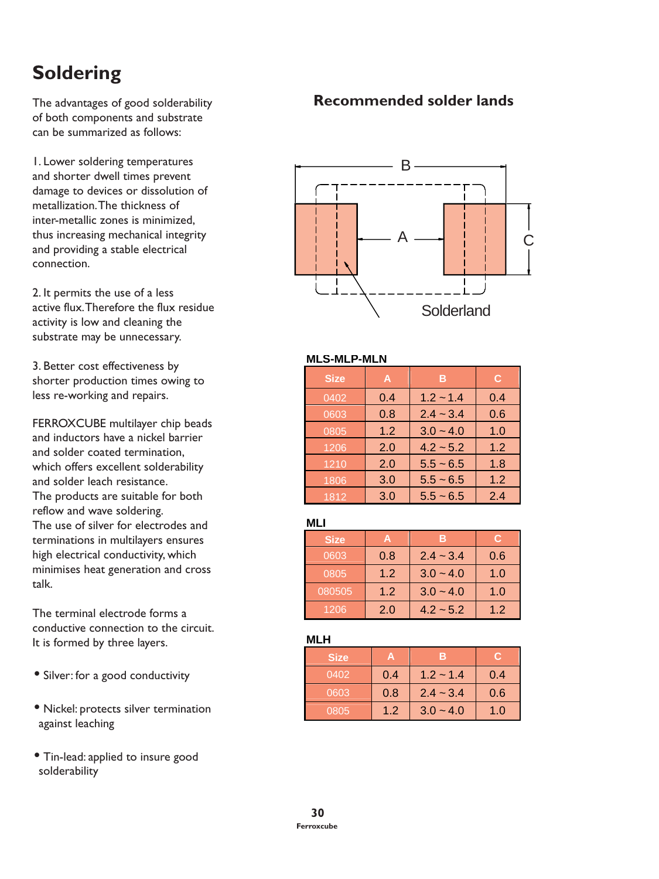## **Soldering**

The advantages of good solderability of both components and substrate can be summarized as follows:

1. Lower soldering temperatures and shorter dwell times prevent damage to devices or dissolution of metallization. The thickness of inter-metallic zones is minimized, thus increasing mechanical integrity and providing a stable electrical connection.

2. It permits the use of a less active flux. Therefore the flux residue activity is low and cleaning the substrate may be unnecessary.

3. Better cost effectiveness by shorter production times owing to less re-working and repairs.

FERROXCUBE multilayer chip beads and inductors have a nickel barrier and solder coated termination, which offers excellent solderability and solder leach resistance. The products are suitable for both reflow and wave soldering. The use of silver for electrodes and terminations in multilayers ensures high electrical conductivity, which minimises heat generation and cross talk.

The terminal electrode forms a conductive connection to the circuit. It is formed by three layers.

- Silver: for a good conductivity
- Nickel: protects silver termination against leaching
- Tin-lead: applied to insure good solderability

### **Recommended solder lands**



#### **MLS-MLP-MLN**

| <b>Size</b> | A   | в           | С   |
|-------------|-----|-------------|-----|
| 0402        | 0.4 | $1.2 - 1.4$ | 0.4 |
| 0603        | 0.8 | $2.4 - 3.4$ | 0.6 |
| 0805        | 1.2 | $3.0 - 4.0$ | 1.0 |
| 1206        | 2.0 | $4.2 - 5.2$ | 1.2 |
| 1210        | 2.0 | $5.5 - 6.5$ | 1.8 |
| 1806        | 3.0 | $5.5 - 6.5$ | 1.2 |
| 1812        | 3.0 | $5.5 - 6.5$ | 2.4 |

| IVII I      |     |             |     |
|-------------|-----|-------------|-----|
| <b>Size</b> |     | Е           | C   |
| 0603        | 0.8 | $2.4 - 3.4$ | 0.6 |
| 0805        | 1.2 | $3.0 - 4.0$ | 1.0 |
| 080505      | 1.2 | $3.0 - 4.0$ | 1.0 |
| 1206        | 2.0 | $4.2 - 5.2$ | 1.2 |

#### **MLH**

**MLI** 

| <b>Size</b> |     |             |     |
|-------------|-----|-------------|-----|
| 0402        | 0.4 | $1.2 - 1.4$ | 0.4 |
| 0603        | 0.8 | $2.4 - 3.4$ | 0.6 |
| 0805        | 1.2 | $3.0 - 4.0$ | 1.0 |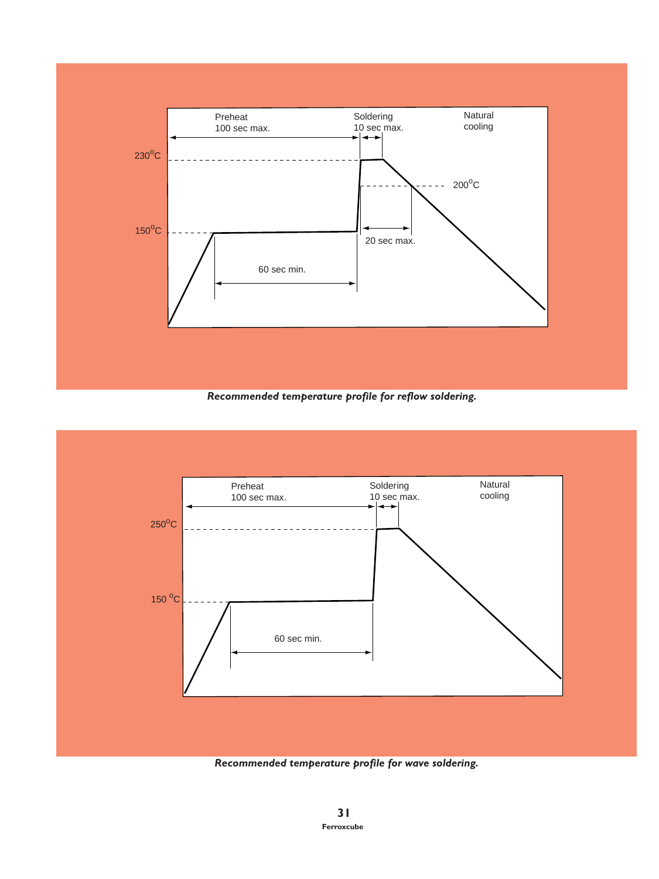

*Recommended temperature profile for reflow soldering.*



*Recommended temperature profile for wave soldering.*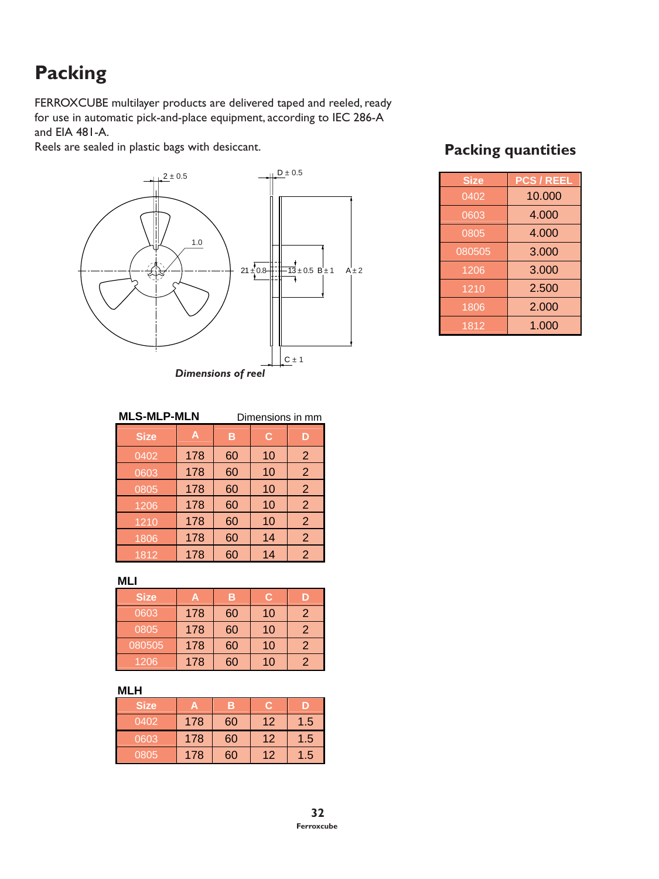## **Packing**

FERROXCUBE multilayer products are delivered taped and reeled, ready for use in automatic pick-and-place equipment, according to IEC 286-A and EIA 481-A.

Reels are sealed in plastic bags with desiccant.



|  | <b>Packing quantities</b> |
|--|---------------------------|
|--|---------------------------|

| Size   | <b>PCS / REEL</b> |
|--------|-------------------|
| 0402   | 10.000            |
| 0603   | 4.000             |
| 0805   | 4.000             |
| 080505 | 3.000             |
| 1206   | 3.000             |
| 1210   | 2.500             |
| 1806   | 2.000             |
| 1812   | 1.000             |

| <b>MLS-MLP-MLN</b> |     |    | Dimensions in mm |                |
|--------------------|-----|----|------------------|----------------|
| <b>Size</b>        | A   | в  | С                |                |
| 0402               | 178 | 60 | 10               | $\overline{2}$ |
| 0603               | 178 | 60 | 10               | $\overline{2}$ |
| 0805               | 178 | 60 | 10               | 2              |
| 1206               | 178 | 60 | 10               | 2              |
| 1210               | 178 | 60 | 10               | $\overline{2}$ |
| 1806               | 178 | 60 | 14               | 2              |
| 1812               | 178 | 60 | 14               | 2              |

**MLI**

| <b>Size</b> | Δ   | В  | C  |               |
|-------------|-----|----|----|---------------|
| 0603        | 178 | 60 | 10 | 2             |
| 0805        | 178 | 60 | 10 | 2             |
| 080505      | 178 | 60 | 10 | $\mathcal{P}$ |
| 1206        | 178 | 60 | 10 |               |

#### **MLH**

| <b>Size</b> |     |    |    |      |
|-------------|-----|----|----|------|
| 0402        | 178 | 60 | 12 | 1.5  |
| 0603        | 178 | 60 | 12 | 1.5  |
| 0805        | 178 | 60 | 12 | 1.5. |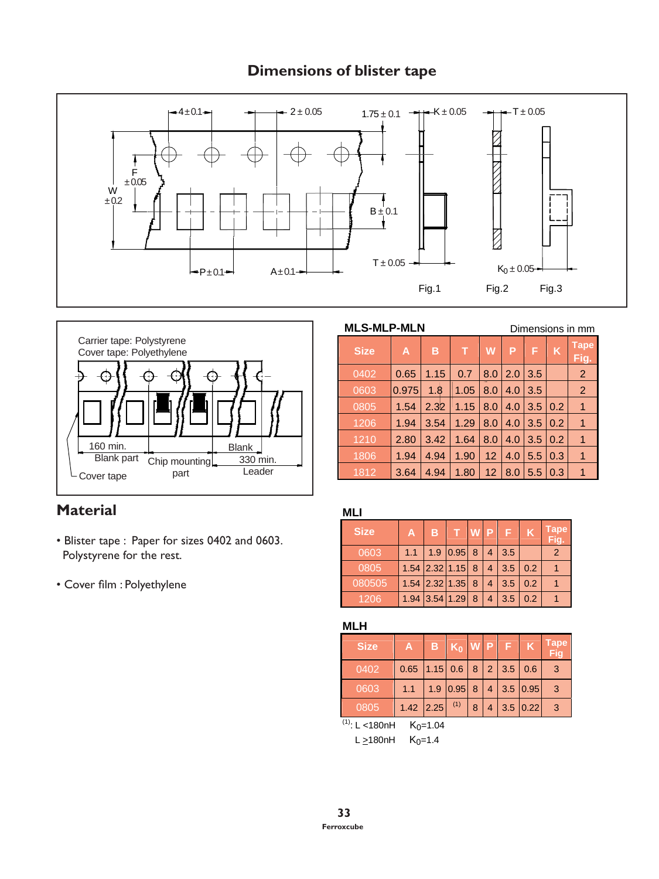## **Dimensions of blister tape**





### **Material**

- Blister tape : Paper for sizes 0402 and 0603. Polystyrene for the rest.
- Cover film : Polyethylene

| <b>MLS-MLP-MLN</b> |       |      |      |     |     | Dimensions in mm |     |                     |
|--------------------|-------|------|------|-----|-----|------------------|-----|---------------------|
| <b>Size</b>        | A     | в    | т    | W   | P   | F                | Κ   | <b>Tape</b><br>Fig. |
| 0402               | 0.65  | 1.15 | 0.7  | 8.0 | 2.0 | 3.5              |     | 2                   |
| 0603               | 0.975 | 1.8  | 1.05 | 8.0 | 4.0 | 3.5              |     | $\overline{2}$      |
| 0805               | 1.54  | 2.32 | 1.15 | 8.0 | 4.0 | 3.5              | 0.2 | $\mathbf 1$         |
| 1206               | 1.94  | 3.54 | 1.29 | 8.0 | 4.0 | 3.5              | 0.2 | 1                   |
| 1210               | 2.80  | 3.42 | 1.64 | 8.0 | 4.0 | 3.5              | 0.2 | 1                   |
| 1806               | 1.94  | 4.94 | 1.90 | 12  | 4.0 | 5.5              | 0.3 | 1                   |
| 1812               | 3.64  | 4.94 | 1.80 | 12  | 8.0 | 5.5              | 0.3 | 1                   |

### **MLI**

| <b>Size</b> | A   | в                  |              | <b>WP</b> |     | κ   | Tape |
|-------------|-----|--------------------|--------------|-----------|-----|-----|------|
| 0603        | 1.1 |                    | $1.9$ 0.95 8 |           | 3.5 |     | 2    |
| 0805        |     | $1.54$ 2.32 1.15 8 |              |           | 3.5 | 0.2 |      |
| 080505      |     | 1.54 2.32 1.35 8   |              |           | 3.5 | 0.2 |      |
| 1206        |     | 1.94 3.54 1.29     |              | 8         | 3.5 | 0.2 |      |

#### **MLH**

| <b>Size</b> | Α           | в                                           | $K_0$        |   |                | F | κ          | Tape |
|-------------|-------------|---------------------------------------------|--------------|---|----------------|---|------------|------|
| 0402        | 0.65        | $1.15 \mid 0.6 \mid 8 \mid 2 \mid 3.5 \mid$ |              |   |                |   | 0.6        | 3    |
| 0603        | 1.1         |                                             | $1.9$ 0.95 8 |   | $\overline{4}$ |   | 3.5   0.95 | -3   |
| 0805        | $1.42$ 2.25 |                                             | (1)          | 8 |                |   | 3.5   0.22 | 3    |

 $(K_{0}=1.04$ <br>(1): L <180nH K<sub>0</sub>=1.04

 $L \ge 180nH$  K<sub>0</sub>=1.4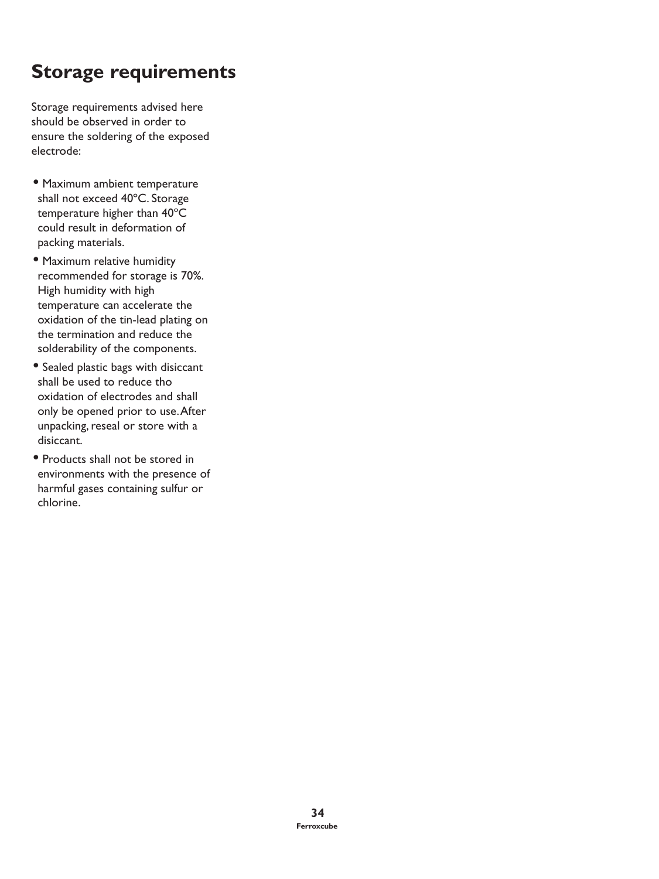## **Storage requirements**

Storage requirements advised here should be observed in order to ensure the soldering of the exposed electrode:

- Maximum ambient temperature shall not exceed 40ºC. Storage temperature higher than 40ºC could result in deformation of packing materials.
- Maximum relative humidity recommended for storage is 70%. High humidity with high temperature can accelerate the oxidation of the tin-lead plating on the termination and reduce the solderability of the components.
- Sealed plastic bags with disiccant shall be used to reduce tho oxidation of electrodes and shall only be opened prior to use. After unpacking, reseal or store with a disiccant.
- Products shall not be stored in environments with the presence of harmful gases containing sulfur or chlorine.